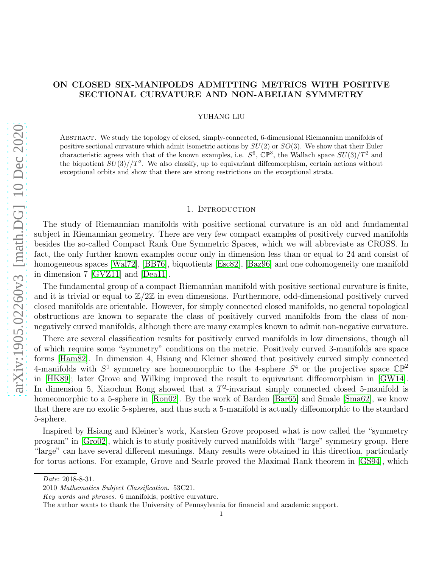# ON CLOSED SIX-MANIFOLDS ADMITTING METRICS WITH POSITIVE SECTIONAL CURVATURE AND NON-ABELIAN SYMMETRY

YUHANG LIU

Abstract. We study the topology of closed, simply-connected, 6-dimensional Riemannian manifolds of positive sectional curvature which admit isometric actions by  $SU(2)$  or  $SO(3)$ . We show that their Euler characteristic agrees with that of the known examples, i.e.  $S^6$ ,  $\mathbb{CP}^3$ , the Wallach space  $SU(3)/T^2$  and the biquotient  $SU(3)/T^2$ . We also classify, up to equivariant diffeomorphism, certain actions without exceptional orbits and show that there are strong restrictions on the exceptional strata.

### 1. INTRODUCTION

The study of Riemannian manifolds with positive sectional curvature is an old and fundamental subject in Riemannian geometry. There are very few compact examples of positively curved manifolds besides the so-called Compact Rank One Symmetric Spaces, which we will abbreviate as CROSS. In fact, the only further known examples occur only in dimension less than or equal to 24 and consist of homogeneous spaces [\[Wal72\]](#page-22-0), [\[BB76\]](#page-22-1), biquotients [\[Esc82\]](#page-22-2), [\[Baz96\]](#page-22-3) and one cohomogeneity one manifold in dimension 7 [\[GVZ11\]](#page-22-4) and [\[Dea11\]](#page-22-5).

The fundamental group of a compact Riemannian manifold with positive sectional curvature is finite, and it is trivial or equal to  $\mathbb{Z}/2\mathbb{Z}$  in even dimensions. Furthermore, odd-dimensional positively curved closed manifolds are orientable. However, for simply connected closed manifolds, no general topological obstructions are known to separate the class of positively curved manifolds from the class of nonnegatively curved manifolds, although there are many examples known to admit non-negative curvature.

There are several classification results for positively curved manifolds in low dimensions, though all of which require some "symmetry" conditions on the metric. Positively curved 3-manifolds are space forms [\[Ham82\]](#page-22-6). In dimension 4, Hsiang and Kleiner showed that positively curved simply connected 4-manifolds with  $S^1$  symmetry are homeomorphic to the 4-sphere  $S^4$  or the projective space  $\mathbb{CP}^2$ in [\[HK89\]](#page-22-7); later Grove and Wilking improved the result to equivariant diffeomorphism in [\[GW14\]](#page-22-8). In dimension 5, Xiaochun Rong showed that a  $T^2$ -invariant simply connected closed 5-manifold is homeomorphic to a 5-sphere in [\[Ron02\]](#page-22-9). By the work of Barden [\[Bar65\]](#page-22-10) and Smale [\[Sma62\]](#page-22-11), we know that there are no exotic 5-spheres, and thus such a 5-manifold is actually diffeomorphic to the standard 5-sphere.

Inspired by Hsiang and Kleiner's work, Karsten Grove proposed what is now called the "symmetry program" in [\[Gro02\]](#page-22-12), which is to study positively curved manifolds with "large" symmetry group. Here "large" can have several different meanings. Many results were obtained in this direction, particularly for torus actions. For example, Grove and Searle proved the Maximal Rank theorem in [\[GS94\]](#page-22-13), which

Date: 2018-8-31.

<sup>2010</sup> Mathematics Subject Classification. 53C21.

Key words and phrases. 6 manifolds, positive curvature.

The author wants to thank the University of Pennsylvania for financial and academic support.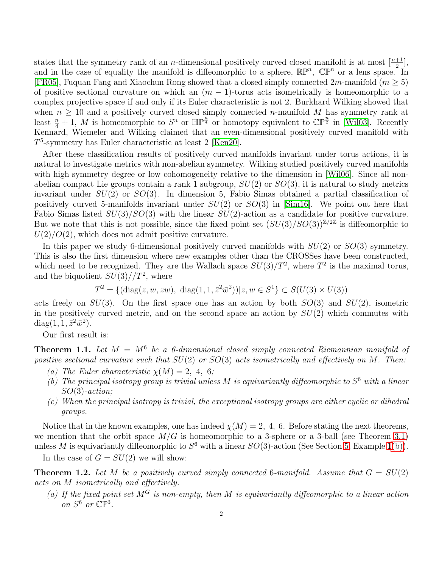states that the symmetry rank of an *n*-dimensional positively curved closed manifold is at most  $\left[\frac{n+1}{2}\right]$ , and in the case of equality the manifold is diffeomorphic to a sphere,  $\mathbb{RP}^n$ ,  $\mathbb{CP}^n$  or a lens space. In [\[FR05\]](#page-22-14), Fuquan Fang and Xiaochun Rong showed that a closed simply connected  $2m$ -manifold  $(m \geq 5)$ of positive sectional curvature on which an  $(m - 1)$ -torus acts isometrically is homeomorphic to a complex projective space if and only if its Euler characteristic is not 2. Burkhard Wilking showed that when  $n \geq 10$  and a positively curved closed simply connected *n*-manifold M has symmetry rank at least  $\frac{n}{4}+1$ , M is homeomorphic to  $S^n$  or  $\mathbb{HP}^{\frac{n}{4}}$  or homotopy equivalent to  $\mathbb{CP}^{\frac{n}{2}}$  in [\[Wil03\]](#page-22-15). Recently Kennard, Wiemeler and Wilking claimed that an even-dimensional positively curved manifold with T 5 -symmetry has Euler characteristic at least 2 [\[Ken20\]](#page-22-16).

After these classification results of positively curved manifolds invariant under torus actions, it is natural to investigate metrics with non-abelian symmetry. Wilking studied positively curved manifolds with high symmetry degree or low cohomogeneity relative to the dimension in [\[Wil06\]](#page-22-17). Since all nonabelian compact Lie groups contain a rank 1 subgroup,  $SU(2)$  or  $SO(3)$ , it is natural to study metrics invariant under  $SU(2)$  or  $SO(3)$ . In dimension 5, Fabio Simas obtained a partial classification of positively curved 5-manifolds invariant under  $SU(2)$  or  $SO(3)$  in [\[Sim16\]](#page-22-18). We point out here that Fabio Simas listed  $SU(3)/SO(3)$  with the linear  $SU(2)$ -action as a candidate for positive curvature. But we note that this is not possible, since the fixed point set  $(SU(3)/SO(3))^{Z/2Z}$  is diffeomorphic to  $U(2)/O(2)$ , which does not admit positive curvature.

In this paper we study 6-dimensional positively curved manifolds with  $SU(2)$  or  $SO(3)$  symmetry. This is also the first dimension where new examples other than the CROSSes have been constructed, which need to be recognized. They are the Wallach space  $SU(3)/T^2$ , where  $T^2$  is the maximal torus, and the biquotient  $SU(3)/T^2$ , where

$$
T^{2} = \{(\text{diag}(z, w, zw), \text{ diag}(1, 1, \bar{z}^{2}\bar{w}^{2}))| z, w \in S^{1}\} \subset S(U(3) \times U(3))
$$

acts freely on  $SU(3)$ . On the first space one has an action by both  $SO(3)$  and  $SU(2)$ , isometric in the positively curved metric, and on the second space an action by  $SU(2)$  which commutes with  $diag(1, 1, \bar{z}^2 \bar{w}^2).$ 

Our first result is:

<span id="page-1-3"></span><span id="page-1-0"></span>**Theorem 1.1.** Let  $M = M^6$  be a 6-dimensional closed simply connected Riemannian manifold of positive sectional curvature such that  $SU(2)$  or  $SO(3)$  acts isometrically and effectively on M. Then:

- (a) The Euler characteristic  $\chi(M) = 2, 4, 6;$
- (b) The principal isotropy group is trivial unless M is equivariantly diffeomorphic to  $S^6$  with a linear SO(3)-action;
- <span id="page-1-2"></span>(c) When the principal isotropy is trivial, the exceptional isotropy groups are either cyclic or dihedral groups.

Notice that in the known examples, one has indeed  $\chi(M) = 2$ , 4, 6. Before stating the next theorems, we mention that the orbit space  $M/G$  is homeomorphic to a 3-sphere or a 3-ball (see Theorem [3.1\)](#page-6-0) unless M is equivariantly diffeomorphic to  $S^6$  with a linear  $SO(3)$ -action (See Section [5,](#page-18-0) Example [1](#page-18-1)[\(b\)\)](#page-18-2).

In the case of  $G = SU(2)$  we will show:

<span id="page-1-1"></span>**Theorem 1.2.** Let M be a positively curved simply connected 6-manifold. Assume that  $G = SU(2)$ acts on M isometrically and effectively.

(a) If the fixed point set  $M^G$  is non-empty, then M is equivariantly diffeomorphic to a linear action on  $S^6$  or  $\mathbb{CP}^3$ .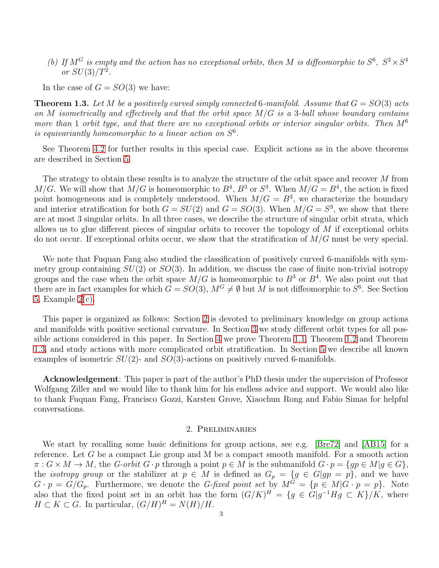(b) If  $M^G$  is empty and the action has no exceptional orbits, then M is diffeomorphic to  $S^6$ ,  $S^2 \times S^4$ or  $SU(3)/T^2$ .

In the case of  $G = SO(3)$  we have:

<span id="page-2-1"></span>**Theorem 1.3.** Let M be a positively curved simply connected 6-manifold. Assume that  $G = SO(3)$  acts on M isometrically and effectively and that the orbit space  $M/G$  is a 3-ball whose boundary contains more than 1 orbit type, and that there are no exceptional orbits or interior singular orbits. Then  $M^6$ is equivariantly homeomorphic to a linear action on  $S<sup>6</sup>$ .

See Theorem [4.2](#page-11-0) for further results in this special case. Explicit actions as in the above theorems are described in Section [5.](#page-18-0)

The strategy to obtain these results is to analyze the structure of the orbit space and recover M from  $M/G$ . We will show that  $M/G$  is homeomorphic to  $B^4$ ,  $B^3$  or  $S^3$ . When  $M/G = B^4$ , the action is fixed point homogeneous and is completely understood. When  $M/G = B<sup>3</sup>$ , we characterize the boundary and interior stratification for both  $G = SU(2)$  and  $G = SO(3)$ . When  $M/G = S<sup>3</sup>$ , we show that there are at most 3 singular orbits. In all three cases, we describe the structure of singular orbit strata, which allows us to glue different pieces of singular orbits to recover the topology of  $M$  if exceptional orbits do not occur. If exceptional orbits occur, we show that the stratification of  $M/G$  must be very special.

We note that Fuquan Fang also studied the classification of positively curved 6-manifolds with symmetry group containing  $SU(2)$  or  $SO(3)$ . In addition, we discuss the case of finite non-trivial isotropy groups and the case when the orbit space  $M/G$  is homeomorphic to  $B^3$  or  $B^4$ . We also point out that there are in fact examples for which  $G = SO(3)$ ,  $M^G \neq \emptyset$  but M is not diffeomorphic to  $S^6$ . See Section [5,](#page-18-0) Example [2](#page-19-0)[\(c\).](#page-19-1)

This paper is organized as follows: Section [2](#page-2-0) is devoted to preliminary knowledge on group actions and manifolds with positive sectional curvature. In Section [3](#page-6-1) we study different orbit types for all possible actions considered in this paper. In Section [4](#page-10-0) we prove Theorem [1.1,](#page-1-0) Theorem [1.2](#page-1-1) and Theorem [1.3,](#page-2-1) and study actions with more complicated orbit stratification. In Section [5](#page-18-0) we describe all known examples of isometric  $SU(2)$ - and  $SO(3)$ -actions on positively curved 6-manifolds.

Acknowledgement: This paper is part of the author's PhD thesis under the supervision of Professor Wolfgang Ziller and we would like to thank him for his endless advice and support. We would also like to thank Fuquan Fang, Francisco Gozzi, Karsten Grove, Xiaochun Rong and Fabio Simas for helpful conversations.

#### 2. Preliminaries

<span id="page-2-0"></span>We start by recalling some basic definitions for group actions, see e.g. [\[Bre72\]](#page-22-19) and [\[AB15\]](#page-21-0) for a reference. Let G be a compact Lie group and M be a compact smooth manifold. For a smooth action  $\pi: G \times M \to M$ , the G-orbit  $G \cdot p$  through a point  $p \in M$  is the submanifold  $G \cdot p = \{gp \in M | g \in G\},\$ the *isotropy group* or the stabilizer at  $p \in M$  is defined as  $G_p = \{g \in G | gp = p\}$ , and we have  $G \cdot p = G/G_p$ . Furthermore, we denote the *G-fixed point set* by  $M^G = \{p \in M | G \cdot p = p\}$ . Note also that the fixed point set in an orbit has the form  $(G/K)^H = \{g \in G | g^{-1}Hg \subset K\}/K$ , where  $H \subset K \subset G$ . In particular,  $(G/H)^H = N(H)/H$ .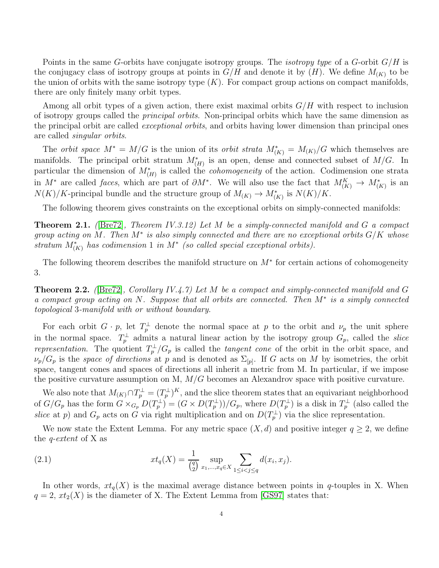Points in the same G-orbits have conjugate isotropy groups. The *isotropy type* of a G-orbit  $G/H$  is the conjugacy class of isotropy groups at points in  $G/H$  and denote it by  $(H)$ . We define  $M_{(K)}$  to be the union of orbits with the same isotropy type  $(K)$ . For compact group actions on compact manifolds, there are only finitely many orbit types.

Among all orbit types of a given action, there exist maximal orbits  $G/H$  with respect to inclusion of isotropy groups called the principal orbits. Non-principal orbits which have the same dimension as the principal orbit are called exceptional orbits, and orbits having lower dimension than principal ones are called singular orbits.

The *orbit space*  $M^* = M/G$  is the union of its *orbit strata*  $M^*_{(K)} = M_{(K)}/G$  which themselves are manifolds. The principal orbit stratum  $M^*_{(H)}$  is an open, dense and connected subset of  $M/G$ . In particular the dimension of  $M^*_{(H)}$  is called the *cohomogeneity* of the action. Codimension one strata in  $M^*$  are called *faces*, which are part of  $\partial M^*$ . We will also use the fact that  $M_{(K)}^K \to M_{(K)}^*$  is an  $N(K)/K$ -principal bundle and the structure group of  $M_{(K)} \to M^*_{(K)}$  is  $N(K)/K$ .

The following theorem gives constraints on the exceptional orbits on simply-connected manifolds:

<span id="page-3-1"></span>**Theorem 2.1.** ([\[Bre72\]](#page-22-19), Theorem IV.3.12) Let M be a simply-connected manifold and G a compact group acting on M. Then  $M^*$  is also simply connected and there are no exceptional orbits  $G/K$  whose stratum  $M^*_{(K)}$  has codimension 1 in  $M^*$  (so called special exceptional orbits).

The following theorem describes the manifold structure on  $M^*$  for certain actions of cohomogeneity 3.

<span id="page-3-0"></span>**Theorem 2.2.** ([\[Bre72\]](#page-22-19), Corollary IV.4.7) Let M be a compact and simply-connected manifold and G a compact group acting on N. Suppose that all orbits are connected. Then M<sup>∗</sup> is a simply connected topological 3-manifold with or without boundary.

For each orbit  $G \cdot p$ , let  $T_p^{\perp}$  denote the normal space at p to the orbit and  $\nu_p$  the unit sphere in the normal space.  $T_p^{\perp}$  admits a natural linear action by the isotropy group  $G_p$ , called the *slice* representation. The quotient  $T_p^{\perp}/G_p$  is called the tangent cone of the orbit in the orbit space, and  $\nu_p/G_p$  is the *space of directions* at p and is denoted as  $\Sigma_{[p]}$ . If G acts on M by isometries, the orbit space, tangent cones and spaces of directions all inherit a metric from M. In particular, if we impose the positive curvature assumption on M,  $M/G$  becomes an Alexandrov space with positive curvature.

We also note that  $M_{(K)} \cap T_p^{\perp} = (T_p^{\perp})^K$ , and the slice theorem states that an equivariant neighborhood of  $G/G_p$  has the form  $G \times_{G_p} D(T_p^{\perp}) = (G \times D(T_p^{\perp}))/G_p$ , where  $D(T_p^{\perp})$  is a disk in  $T_p^{\perp}$  (also called the slice at p) and  $G_p$  acts on G via right multiplication and on  $D(T_p^{\perp})$  via the slice representation.

We now state the Extent Lemma. For any metric space  $(X, d)$  and positive integer  $q \geq 2$ , we define the q-extent of X as

(2.1) 
$$
xt_q(X) = \frac{1}{\binom{q}{2}} \sup_{x_1, ..., x_q \in X} \sum_{1 \le i < j \le q} d(x_i, x_j).
$$

In other words,  $xt_q(X)$  is the maximal average distance between points in q-touples in X. When  $q = 2, xt_2(X)$  is the diameter of X. The Extent Lemma from [\[GS97\]](#page-22-20) states that: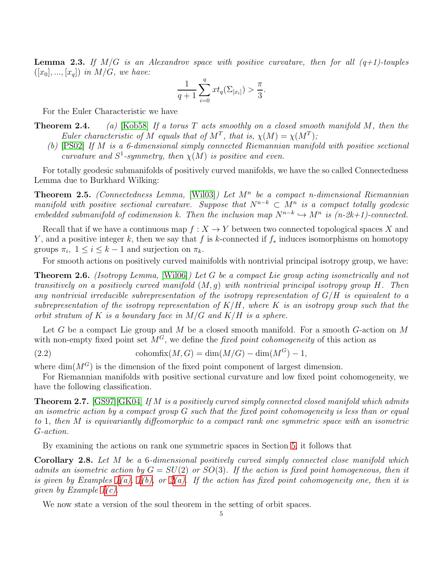<span id="page-4-3"></span>**Lemma 2.3.** If  $M/G$  is an Alexandrov space with positive curvature, then for all  $(q+1)$ -touples  $([x_0], ..., [x_q])$  in  $M/G$ , we have:

$$
\frac{1}{q+1} \sum_{i=0}^{q} xt_q(\Sigma_{[x_i]}) > \frac{\pi}{3}.
$$

For the Euler Characteristic we have

- **Theorem 2.4.** (a) [\[Kob58\]](#page-22-21) If a torus T acts smoothly on a closed smooth manifold M, then the Euler characteristic of M equals that of  $M^T$ , that is,  $\chi(M) = \chi(M^T)$ ;
	- (b) [\[PS02\]](#page-22-22) If M is a 6-dimensional simply connected Riemannian manifold with positive sectional curvature and  $S^1$ -symmetry, then  $\chi(M)$  is positive and even.

For totally geodesic submanifolds of positively curved manifolds, we have the so called Connectedness Lemma due to Burkhard Wilking:

**Theorem 2.5.** (Connectedness Lemma, [\[Wil03\]](#page-22-15)) Let  $M<sup>n</sup>$  be a compact n-dimensional Riemannian manifold with positive sectional curvature. Suppose that  $N^{n-k} \subset M^n$  is a compact totally geodesic embedded submanifold of codimension k. Then the inclusion map  $N^{n-k} \hookrightarrow M^n$  is  $(n-2k+1)$ -connected.

Recall that if we have a continuous map  $f: X \to Y$  between two connected topological spaces X and Y, and a positive integer k, then we say that f is k-connected if  $f_*$  induces isomorphisms on homotopy groups  $\pi_i$ ,  $1 \leq i \leq k-1$  and surjection on  $\pi_k$ .

For smooth actions on positively curved mainifolds with nontrivial principal isotropy group, we have:

<span id="page-4-0"></span>Theorem 2.6. (Isotropy Lemma, [\[Wil06\]](#page-22-17)) Let G be a compact Lie group acting isometrically and not transitively on a positively curved manifold  $(M, q)$  with nontrivial principal isotropy group H. Then any nontrivial irreducible subrepresentation of the isotropy representation of  $G/H$  is equivalent to a subrepresentation of the isotropy representation of  $K/H$ , where K is an isotropy group such that the orbit stratum of K is a boundary face in  $M/G$  and  $K/H$  is a sphere.

Let G be a compact Lie group and M be a closed smooth manifold. For a smooth G-action on M with non-empty fixed point set  $M<sup>G</sup>$ , we define the fixed point cohomogeneity of this action as

(2.2) cohomfix
$$
(M, G) = \dim(M/G) - \dim(M^G) - 1
$$
,

where  $\dim(M^G)$  is the dimension of the fixed point component of largest dimension.

For Riemannian manifolds with positive sectional curvature and low fixed point cohomogeneity, we have the following classification.

<span id="page-4-2"></span>**Theorem 2.7.** [\[GS97\]](#page-22-20)[\[GK04\]](#page-22-23) If M is a positively curved simply connected closed manifold which admits an isometric action by a compact group G such that the fixed point cohomogeneity is less than or equal to 1, then M is equivariantly diffeomorphic to a compact rank one symmetric space with an isometric G-action.

By examining the actions on rank one symmetric spaces in Section [5,](#page-18-0) it follows that

<span id="page-4-1"></span>Corollary 2.8. Let M be a 6-dimensional positively curved simply connected close manifold which admits an isometric action by  $G = SU(2)$  or  $SO(3)$ . If the action is fixed point homogeneous, then it is given by Examples  $1(a)$ ,  $1(b)$ , or  $2(a)$ . If the action has fixed point cohomogeneity one, then it is given by Example [1](#page-18-1)[\(c\).](#page-18-4)

We now state a version of the soul theorem in the setting of orbit spaces.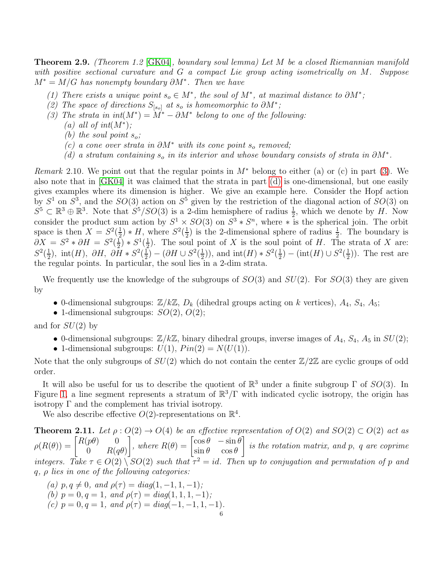<span id="page-5-2"></span>Theorem 2.9. (Theorem 1.2 [\[GK04\]](#page-22-23), boundary soul lemma) Let M be a closed Riemannian manifold with positive sectional curvature and G a compact Lie group acting isometrically on M. Suppose  $M^* = M/G$  has nonempty boundary  $\partial M^*$ . Then we have

- <span id="page-5-3"></span>(1) There exists a unique point  $s_o \in M^*$ , the soul of  $M^*$ , at maximal distance to  $\partial M^*$ ;
- <span id="page-5-0"></span>(2) The space of directions  $S_{[s_o]}$  at  $s_o$  is homeomorphic to  $\partial M^*$ ;
- (3) The strata in  $int(M^*) = M^* \partial M^*$  belong to one of the following:
	- (a) all of  $int(M^*)$ ;
	- (b) the soul point  $s_o$ ;
	- (c) a cone over strata in  $\partial M^*$  with its cone point s<sub>o</sub> removed;
	- (d) a stratum containing  $s_o$  in its interior and whose boundary consists of strata in  $\partial M^*$ .

<span id="page-5-1"></span>*Remark* 2.10. We point out that the regular points in  $M^*$  belong to either (a) or (c) in part [\(3\)](#page-5-0). We also note that in [\[GK04\]](#page-22-23) it was claimed that the strata in part [\(d\)](#page-5-1) is one-dimensional, but one easily gives examples where its dimension is higher. We give an example here. Consider the Hopf action by  $S^1$  on  $S^3$ , and the  $SO(3)$  action on  $S^5$  given by the restriction of the diagonal action of  $SO(3)$  on  $S^5 \subset \mathbb{R}^3 \oplus \mathbb{R}^3$ . Note that  $S^5/SO(3)$  is a 2-dim hemisphere of radius  $\frac{1}{2}$ , which we denote by H. Now consider the product sum action by  $S^1 \times SO(3)$  on  $S^3 * S^n$ , where  $*$  is the spherical join. The orbit space is then  $X = S^2(\frac{1}{2})$  $(\frac{1}{2}) * H$ , where  $S^2(\frac{1}{2})$  $\frac{1}{2}$ ) is the 2-dimensional sphere of radius  $\frac{1}{2}$ . The boundary is  $\partial X = S^2 * \partial H = S^2(\frac{1}{2})$  $(\frac{1}{2}) * S^1(\frac{1}{2})$  $\frac{1}{2}$ ). The soul point of X is the soul point of H. The strata of X are:  $S^2(\frac{1}{2})$  $\frac{1}{2}$ ), int(H),  $\partial H$ ,  $\partial H * S^2(\frac{1}{2})$  $\frac{1}{2}$ ) – ( $\partial H \cup S^2(\frac{1}{2})$  $\frac{1}{2})$ ), and  $\text{int}(H) * S^2(\frac{1}{2})$  $(\frac{1}{2}) - (\text{int}(H) \cup S^2(\frac{1}{2}))$  $(\frac{1}{2})$ ). The rest are the regular points. In particular, the soul lies in a 2-dim strata.

We frequently use the knowledge of the subgroups of  $SO(3)$  and  $SU(2)$ . For  $SO(3)$  they are given by

- 0-dimensional subgroups:  $\mathbb{Z}/k\mathbb{Z}$ ,  $D_k$  (dihedral groups acting on k vertices),  $A_4$ ,  $S_4$ ,  $A_5$ ;
- 1-dimensional subgroups:  $SO(2)$ ,  $O(2)$ ;

and for  $SU(2)$  by

- 0-dimensional subgroups:  $\mathbb{Z}/k\mathbb{Z}$ , binary dihedral groups, inverse images of  $A_4$ ,  $S_4$ ,  $A_5$  in  $SU(2)$ ;
- 1-dimensional subgroups:  $U(1)$ ,  $Pin(2) = N(U(1))$ .

Note that the only subgroups of  $SU(2)$  which do not contain the center  $\mathbb{Z}/2\mathbb{Z}$  are cyclic groups of odd order.

It will also be useful for us to describe the quotient of  $\mathbb{R}^3$  under a finite subgroup  $\Gamma$  of  $SO(3)$ . In Figure [1,](#page-6-2) a line segment represents a stratum of  $\mathbb{R}^3/\Gamma$  with indicated cyclic isotropy, the origin has isotropy  $\Gamma$  and the complement has trivial isotropy.

We also describe effective  $O(2)$ -representations on  $\mathbb{R}^4$ .

<span id="page-5-4"></span>**Theorem 2.11.** Let  $\rho: O(2) \to O(4)$  be an effective representation of  $O(2)$  and  $SO(2) \subset O(2)$  act as  $\rho(R(\theta)) = \begin{bmatrix} R(p\theta) & 0 \ 0 & R(p\theta) \end{bmatrix}$ 0  $R(q\theta)$ , where  $R(\theta) = \begin{bmatrix} \cos \theta & -\sin \theta \\ \sin \theta & \cos \theta \end{bmatrix}$  $\sin \theta \quad \cos \theta$ 1 is the rotation matrix, and p, q are coprime integers. Take  $\tau \in O(2) \setminus SO(2)$  such that  $\tau^2 = id$ . Then up to conjugation and permutation of p and q,  $\rho$  lies in one of the following categories:

<span id="page-5-6"></span><span id="page-5-5"></span>(a) 
$$
p, q \neq 0
$$
, and  $\rho(\tau) = diag(1, -1, 1, -1)$ ;  
\n(b)  $p = 0, q = 1$ , and  $\rho(\tau) = diag(1, 1, 1, -1)$ ;  
\n(c)  $p = 0, q = 1$ , and  $\rho(\tau) = diag(-1, -1, 1, -1)$ .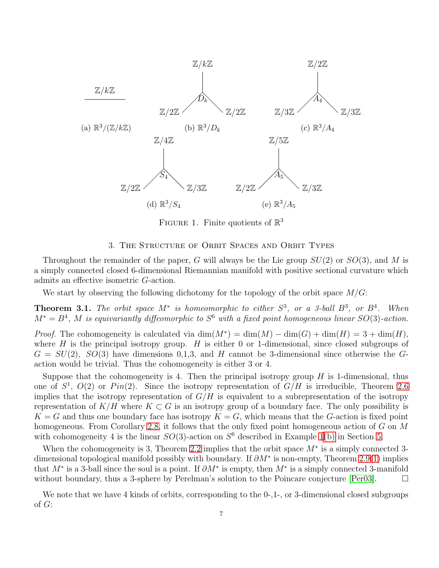<span id="page-6-2"></span>

FIGURE 1. Finite quotients of  $\mathbb{R}^3$ 

### 3. The Structure of Orbit Spaces and Orbit Types

<span id="page-6-1"></span>Throughout the remainder of the paper, G will always be the Lie group  $SU(2)$  or  $SO(3)$ , and M is a simply connected closed 6-dimensional Riemannian manifold with positive sectional curvature which admits an effective isometric G-action.

We start by observing the following dichotomy for the topology of the orbit space  $M/G$ :

<span id="page-6-0"></span>**Theorem 3.1.** The orbit space  $M^*$  is homeomorphic to either  $S^3$ , or a 3-ball  $B^3$ , or  $B^4$ . When  $M^* = B^4$ , M is equivariantly diffeomorphic to  $S^6$  with a fixed point homogeneous linear  $SO(3)$ -action.

*Proof.* The cohomogeneity is calculated via  $\dim(M^*) = \dim(M) - \dim(G) + \dim(H) = 3 + \dim(H)$ , where  $H$  is the principal isotropy group.  $H$  is either 0 or 1-dimensional, since closed subgroups of  $G = SU(2)$ ,  $SO(3)$  have dimensions 0,1,3, and H cannot be 3-dimensional since otherwise the Gaction would be trivial. Thus the cohomogeneity is either 3 or 4.

Suppose that the cohomogeneity is 4. Then the principal isotropy group  $H$  is 1-dimensional, thus one of  $S^1$ ,  $O(2)$  or  $Pin(2)$ . Since the isotropy representation of  $G/H$  is irreducible, Theorem [2.6](#page-4-0) implies that the isotropy representation of  $G/H$  is equivalent to a subrepresentation of the isotropy representation of  $K/H$  where  $K\subset G$  is an isotropy group of a boundary face. The only possibility is  $K = G$  and thus one boundary face has isotropy  $K = G$ , which means that the G-action is fixed point homogeneous. From Corollary [2.8,](#page-4-1) it follows that the only fixed point homogeneous action of G on M with cohomogeneity 4 is the linear  $SO(3)$ -action on  $S^6$  described in Example [1](#page-18-1)[\(b\)](#page-18-2) in Section [5.](#page-18-0)

When the cohomogeneity is 3, Theorem [2.2](#page-3-0) implies that the orbit space  $M^*$  is a simply connected 3dimensional topological manifold possibly with boundary. If  $\partial M^*$  is non-empty, Theorem [2.9\(](#page-5-2)[1\)](#page-5-3) implies that  $M^*$  is a 3-ball since the soul is a point. If  $\partial M^*$  is empty, then  $M^*$  is a simply connected 3-manifold without boundary, thus a 3-sphere by Perelman's solution to the Poincare conjecture  $[Per03]$ .

We note that we have 4 kinds of orbits, corresponding to the 0-,1-, or 3-dimensional closed subgroups of G: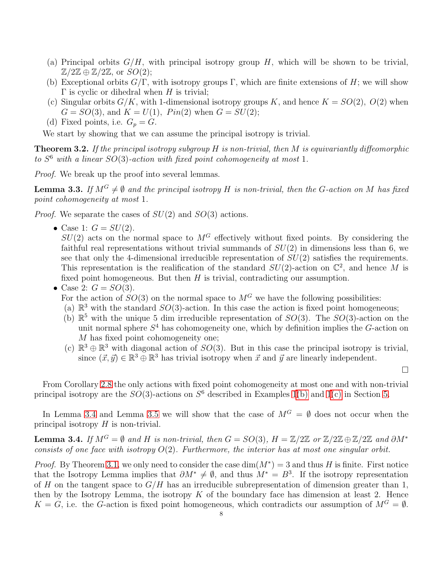- (a) Principal orbits  $G/H$ , with principal isotropy group H, which will be shown to be trivial,  $\mathbb{Z}/2\mathbb{Z} \oplus \mathbb{Z}/2\mathbb{Z}$ , or  $SO(2)$ ;
- (b) Exceptional orbits  $G/\Gamma$ , with isotropy groups  $\Gamma$ , which are finite extensions of H; we will show  $\Gamma$  is cyclic or dihedral when H is trivial;
- (c) Singular orbits  $G/K$ , with 1-dimensional isotropy groups K, and hence  $K = SO(2)$ ,  $O(2)$  when  $G = SO(3)$ , and  $K = U(1)$ ,  $Pin(2)$  when  $G = SU(2)$ ;
- (d) Fixed points, i.e.  $G_p = G$ .

We start by showing that we can assume the principal isotropy is trivial.

<span id="page-7-2"></span>**Theorem 3.2.** If the principal isotropy subgroup  $H$  is non-trivial, then  $M$  is equivariantly diffeomorphic to  $S^6$  with a linear  $SO(3)$ -action with fixed point cohomogeneity at most 1.

Proof. We break up the proof into several lemmas.

<span id="page-7-1"></span>**Lemma 3.3.** If  $M^G \neq \emptyset$  and the principal isotropy H is non-trivial, then the G-action on M has fixed point cohomogeneity at most 1.

*Proof.* We separate the cases of  $SU(2)$  and  $SO(3)$  actions.

• Case 1:  $G = SU(2)$ .

 $SU(2)$  acts on the normal space to  $M<sup>G</sup>$  effectively without fixed points. By considering the faithful real representations without trivial summands of  $SU(2)$  in dimensions less than 6, we see that only the 4-dimensional irreducible representation of  $SU(2)$  satisfies the requirements. This representation is the realification of the standard  $SU(2)$ -action on  $\mathbb{C}^2$ , and hence M is fixed point homogeneous. But then  $H$  is trivial, contradicting our assumption.

## • Case 2:  $G = SO(3)$ .

For the action of  $SO(3)$  on the normal space to  $M<sup>G</sup>$  we have the following possibilities:

- (a)  $\mathbb{R}^3$  with the standard  $SO(3)$ -action. In this case the action is fixed point homogeneous;
- (b)  $\mathbb{R}^5$  with the unique 5 dim irreducible representation of  $SO(3)$ . The  $SO(3)$ -action on the unit normal sphere  $S<sup>4</sup>$  has cohomogeneity one, which by definition implies the G-action on M has fixed point cohomogeneity one;
- (c)  $\mathbb{R}^3 \oplus \mathbb{R}^3$  with diagonal action of  $SO(3)$ . But in this case the principal isotropy is trivial, since  $(\vec{x}, \vec{y}) \in \mathbb{R}^3 \oplus \mathbb{R}^3$  has trivial isotropy when  $\vec{x}$  and  $\vec{y}$  are linearly independent.

From Corollary [2.8](#page-4-1) the only actions with fixed point cohomogeneity at most one and with non-trivial principal isotropy are the  $SO(3)$ -actions on  $S^6$  described in Examples [1](#page-18-1)[\(b\)](#page-18-2) and 1[\(c\)](#page-18-4) in Section [5.](#page-18-0)

In Lemma [3.4](#page-7-0) and Lemma [3.5](#page-8-0) we will show that the case of  $M^G = \emptyset$  does not occur when the principal isotropy  $H$  is non-trivial.

<span id="page-7-0"></span>**Lemma 3.4.** If  $M^G = \emptyset$  and H is non-trivial, then  $G = SO(3)$ ,  $H = \mathbb{Z}/2\mathbb{Z}$  or  $\mathbb{Z}/2\mathbb{Z} \oplus \mathbb{Z}/2\mathbb{Z}$  and  $\partial M^*$ consists of one face with isotropy  $O(2)$ . Furthermore, the interior has at most one singular orbit.

*Proof.* By Theorem [3.1,](#page-6-0) we only need to consider the case  $dim(M^*) = 3$  and thus H is finite. First notice that the Isotropy Lemma implies that  $\partial M^* \neq \emptyset$ , and thus  $M^* = B^3$ . If the isotropy representation of H on the tangent space to  $G/H$  has an irreducible subrepresentation of dimension greater than 1, then by the Isotropy Lemma, the isotropy  $K$  of the boundary face has dimension at least 2. Hence  $K = G$ , i.e. the G-action is fixed point homogeneous, which contradicts our assumption of  $M^G = \emptyset$ .

 $\Box$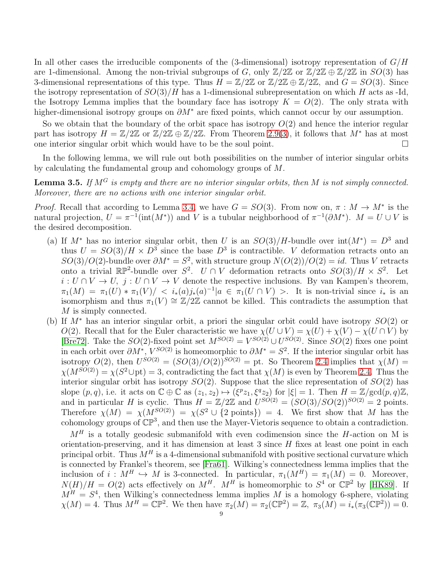In all other cases the irreducible components of the (3-dimensional) isotropy representation of  $G/H$ are 1-dimensional. Among the non-trivial subgroups of G, only  $\mathbb{Z}/2\mathbb{Z}$  or  $\mathbb{Z}/2\mathbb{Z} \oplus \mathbb{Z}/2\mathbb{Z}$  in  $SO(3)$  has 3-dimensional representations of this type. Thus  $H = \mathbb{Z}/2\mathbb{Z}$  or  $\mathbb{Z}/2\mathbb{Z} \oplus \mathbb{Z}/2\mathbb{Z}$ , and  $G = SO(3)$ . Since the isotropy representation of  $SO(3)/H$  has a 1-dimensional subrepresentation on which H acts as -Id, the Isotropy Lemma implies that the boundary face has isotropy  $K = O(2)$ . The only strata with higher-dimensional isotropy groups on  $\partial M^*$  are fixed points, which cannot occur by our assumption.

So we obtain that the boundary of the orbit space has isotropy  $O(2)$  and hence the interior regular part has isotropy  $H = \mathbb{Z}/2\mathbb{Z}$  or  $\mathbb{Z}/2\mathbb{Z} \oplus \mathbb{Z}/2\mathbb{Z}$ . From Theorem [2.9](#page-5-2)[\(3\)](#page-5-0), it follows that  $M^*$  has at most one interior singular orbit which would have to be the soul point.

In the following lemma, we will rule out both possibilities on the number of interior singular orbits by calculating the fundamental group and cohomology groups of M.

<span id="page-8-0"></span>**Lemma 3.5.** If  $M^G$  is empty and there are no interior singular orbits, then M is not simply connected. Moreover, there are no actions with one interior singular orbit.

*Proof.* Recall that according to Lemma [3.4,](#page-7-0) we have  $G = SO(3)$ . From now on,  $\pi : M \to M^*$  is the natural projection,  $U = \pi^{-1}(\text{int}(M^*))$  and V is a tubular neighborhood of  $\pi^{-1}(\partial M^*)$ .  $M = U \cup V$  is the desired decomposition.

- (a) If  $M^*$  has no interior singular orbit, then U is an  $SO(3)/H$ -bundle over  $\text{int}(M^*) = D^3$  and thus  $U = SO(3)/H \times D^3$  since the base  $D^3$  is contractible. V deformation retracts onto an  $SO(3)/O(2)$ -bundle over  $\partial M^* = S^2$ , with structure group  $N(O(2))/O(2) = id$ . Thus V retracts onto a trivial  $\mathbb{RP}^2$ -bundle over  $S^2$ .  $U \cap V$  deformation retracts onto  $SO(3)/H \times S^2$ . Let  $i: U \cap V \to U$ ,  $j: U \cap V \to V$  denote the respective inclusions. By van Kampen's theorem,  $\pi_1(M) = \pi_1(U) * \pi_1(V) / \langle i_*(a) j_*(a)^{-1} | a \in \pi_1(U \cap V) \rangle$ . It is non-trivial since  $i_*$  is an isomorphism and thus  $\pi_1(V) \cong \mathbb{Z}/2\mathbb{Z}$  cannot be killed. This contradicts the assumption that M is simply connected.
- (b) If M<sup>∗</sup> has an interior singular orbit, a priori the singular orbit could have isotropy SO(2) or O(2). Recall that for the Euler characteristic we have  $\chi(U \cup V) = \chi(U) + \chi(V) - \chi(U \cap V)$  by [\[Bre72\]](#page-22-19). Take the  $SO(2)$ -fixed point set  $M^{SO(2)} = V^{SO(2)} \cup U^{SO(2)}$ . Since  $SO(2)$  fixes one point in each orbit over  $\partial M^*$ ,  $V^{SO(2)}$  is homeomorphic to  $\partial M^* = S^2$ . If the interior singular orbit has isotropy  $O(2)$ , then  $U^{SO(2)} = (SO(3)/O(2))^{SO(2)} =$  pt. So Theorem 2.4 implies that  $\chi(M) =$  $\chi(M^{SO(2)}) = \chi(S^2 \cup \text{pt}) = 3$ , contradicting the fact that  $\chi(M)$  is even by Theorem 2.4. Thus the interior singular orbit has isotropy  $SO(2)$ . Suppose that the slice representation of  $SO(2)$  has slope  $(p, q)$ , i.e. it acts on  $\mathbb{C} \oplus \mathbb{C}$  as  $(z_1, z_2) \mapsto (\xi^p z_1, \xi^q z_2)$  for  $|\xi| = 1$ . Then  $H = \mathbb{Z}/\text{gcd}(p, q)\mathbb{Z}$ , and in particular H is cyclic. Thus  $H = \mathbb{Z}/2\mathbb{Z}$  and  $U^{SO(2)} = (SO(3)/SO(2))^{SO(2)} = 2$  points. Therefore  $\chi(M) = \chi(M^{SO(2)}) = \chi(S^2 \cup \{2 \text{ points}\}) = 4$ . We first show that M has the cohomology groups of  $\mathbb{CP}^3$ , and then use the Mayer-Vietoris sequence to obtain a contradiction.

 $M<sup>H</sup>$  is a totally geodesic submanifold with even codimension since the H-action on M is orientation-preserving, and it has dimension at least  $3$  since  $H$  fixes at least one point in each principal orbit. Thus  $M<sup>H</sup>$  is a 4-dimensional submanifold with positive sectional curvature which is connected by Frankel's theorem, see [\[Fra61\]](#page-22-25). Wilking's connectedness lemma implies that the inclusion of  $i : M^H \hookrightarrow M$  is 3-connected. In particular,  $\pi_1(M^H) = \pi_1(M) = 0$ . Moreover,  $N(H)/H = O(2)$  acts effectively on  $M^H$ .  $M^H$  is homeomorphic to  $S^4$  or  $\mathbb{CP}^2$  by [\[HK89\]](#page-22-7). If  $M<sup>H</sup> = S<sup>4</sup>$ , then Wilking's connectedness lemma implies M is a homology 6-sphere, violating  $\chi(M) = 4$ . Thus  $M^H = \mathbb{CP}^2$ . We then have  $\pi_2(M) = \pi_2(\mathbb{CP}^2) = \mathbb{Z}$ ,  $\pi_3(M) = i_*(\pi_3(\mathbb{CP}^2)) = 0$ .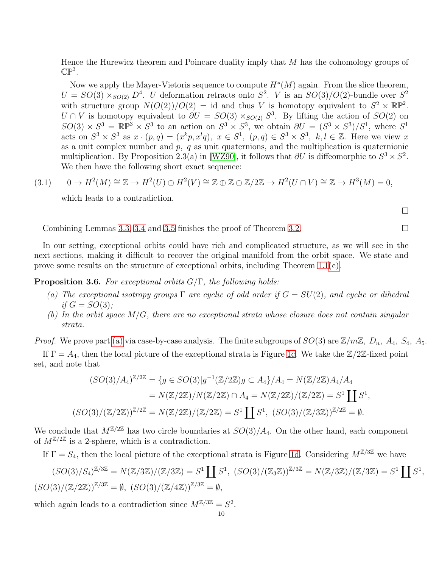Hence the Hurewicz theorem and Poincare duality imply that M has the cohomology groups of  $\mathbb{CP}^3$ .

Now we apply the Mayer-Vietoris sequence to compute  $H^*(M)$  again. From the slice theorem,  $U = SO(3) \times_{SO(2)} D^4$ . U deformation retracts onto  $S^2$ . V is an  $SO(3)/O(2)$ -bundle over  $S^2$ with structure group  $N(O(2))/O(2) = id$  and thus V is homotopy equivalent to  $S^2 \times \mathbb{RP}^2$ .  $U \cap V$  is homotopy equivalent to  $\partial U = SO(3) \times_{SO(2)} S^3$ . By lifting the action of  $SO(2)$  on  $SO(3) \times S^3 = \mathbb{RP}^3 \times S^3$  to an action on  $S^3 \times S^3$ , we obtain  $\partial U = (S^3 \times S^3)/S^1$ , where  $S^1$ acts on  $S^3 \times S^3$  as  $x \cdot (p,q) = (x^k p, x^l q), x \in S^1$ ,  $(p,q) \in S^3 \times S^3$ ,  $k, l \in \mathbb{Z}$ . Here we view x as a unit complex number and  $p$ ,  $q$  as unit quaternions, and the multiplication is quaternionic multiplication. By Proposition 2.3(a) in [\[WZ90\]](#page-22-26), it follows that  $\partial U$  is diffeomorphic to  $S^3 \times S^2$ . We then have the following short exact sequence:

$$
(3.1) \qquad 0 \to H^2(M) \cong \mathbb{Z} \to H^2(U) \oplus H^2(V) \cong \mathbb{Z} \oplus \mathbb{Z} \oplus \mathbb{Z}/2\mathbb{Z} \to H^2(U \cap V) \cong \mathbb{Z} \to H^3(M) = 0,
$$

which leads to a contradiction.

 $\Box$ 

Combining Lemmas [3.3,](#page-7-1) [3.4](#page-7-0) and [3.5](#page-8-0) finishes the proof of Theorem [3.2.](#page-7-2)

In our setting, exceptional orbits could have rich and complicated structure, as we will see in the next sections, making it difficult to recover the original manifold from the orbit space. We state and prove some results on the structure of exceptional orbits, including Theorem [1.1](#page-1-0)[\(c\).](#page-1-2)

#### <span id="page-9-2"></span><span id="page-9-0"></span>**Proposition 3.6.** For exceptional orbits  $G/\Gamma$ , the following holds:

- (a) The exceptional isotropy groups  $\Gamma$  are cyclic of odd order if  $G = SU(2)$ , and cyclic or dihedral if  $G = SO(3)$ ;
- <span id="page-9-1"></span>(b) In the orbit space  $M/G$ , there are no exceptional strata whose closure does not contain singular strata.

*Proof.* We prove part [\(a\)](#page-9-0) via case-by-case analysis. The finite subgroups of  $SO(3)$  are  $\mathbb{Z}/m\mathbb{Z}$ ,  $D_n$ ,  $A_4$ ,  $S_4$ ,  $A_5$ .

If  $\Gamma = A_4$ , then the local picture of the exceptional strata is Figure [1c.](#page-6-2) We take the  $\mathbb{Z}/2\mathbb{Z}$ -fixed point set, and note that

$$
(SO(3)/A_4)^{\mathbb{Z}/2\mathbb{Z}} = \{ g \in SO(3) | g^{-1}(\mathbb{Z}/2\mathbb{Z})g \subset A_4 \} / A_4 = N(\mathbb{Z}/2\mathbb{Z})A_4 / A_4
$$
  
=  $N(\mathbb{Z}/2\mathbb{Z}) / N(\mathbb{Z}/2\mathbb{Z}) \cap A_4 = N(\mathbb{Z}/2\mathbb{Z}) / (\mathbb{Z}/2\mathbb{Z}) = S^1 \coprod S^1,$   
 $(SO(3)/(\mathbb{Z}/2\mathbb{Z}))^{\mathbb{Z}/2\mathbb{Z}} = N(\mathbb{Z}/2\mathbb{Z}) / (\mathbb{Z}/2\mathbb{Z}) = S^1 \coprod S^1, (SO(3)/(\mathbb{Z}/3\mathbb{Z}))^{\mathbb{Z}/2\mathbb{Z}} = \emptyset.$ 

We conclude that  $M^{\mathbb{Z}/2\mathbb{Z}}$  has two circle boundaries at  $SO(3)/A_4$ . On the other hand, each component of  $M^{\mathbb{Z}/2\mathbb{Z}}$  is a 2-sphere, which is a contradiction.

If  $\Gamma = S_4$ , then the local picture of the exceptional strata is Figure [1d.](#page-6-2) Considering  $M^{\mathbb{Z}/3\mathbb{Z}}$  we have

$$
(SO(3)/S_4)^{\mathbb{Z}/3\mathbb{Z}} = N(\mathbb{Z}/3\mathbb{Z})/(\mathbb{Z}/3\mathbb{Z}) = S^1 \coprod S^1, (SO(3)/(\mathbb{Z}_3\mathbb{Z}))^{\mathbb{Z}/3\mathbb{Z}} = N(\mathbb{Z}/3\mathbb{Z})/(\mathbb{Z}/3\mathbb{Z}) = S^1 \coprod S^1,
$$
  

$$
(SO(3)/(\mathbb{Z}/2\mathbb{Z}))^{\mathbb{Z}/3\mathbb{Z}} = \emptyset, (SO(3)/(\mathbb{Z}/4\mathbb{Z}))^{\mathbb{Z}/3\mathbb{Z}} = \emptyset,
$$

which again leads to a contradiction since  $M^{\mathbb{Z}/3\mathbb{Z}} = S^2$ .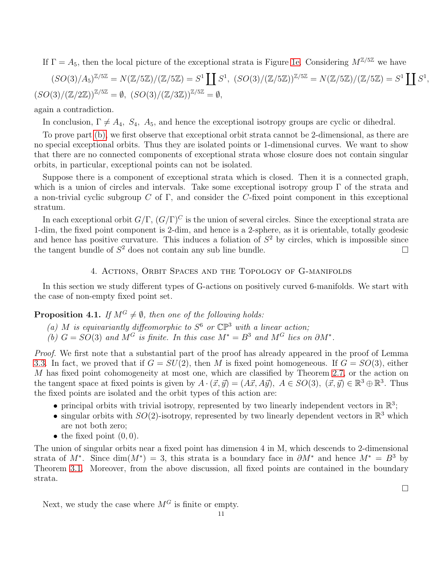If  $\Gamma = A_5$ , then the local picture of the exceptional strata is Figure [1e.](#page-6-2) Considering  $M^{\mathbb{Z}/5\mathbb{Z}}$  we have

$$
(SO(3)/A_5)^{\mathbb{Z}/5\mathbb{Z}} = N(\mathbb{Z}/5\mathbb{Z})/(\mathbb{Z}/5\mathbb{Z}) = S^1 \coprod S^1, (SO(3)/(\mathbb{Z}/5\mathbb{Z}))^{\mathbb{Z}/5\mathbb{Z}} = N(\mathbb{Z}/5\mathbb{Z})/(\mathbb{Z}/5\mathbb{Z}) = S^1 \coprod S^1,
$$
  

$$
(SO(3)/(\mathbb{Z}/2\mathbb{Z}))^{\mathbb{Z}/5\mathbb{Z}} = \emptyset, (SO(3)/(\mathbb{Z}/3\mathbb{Z}))^{\mathbb{Z}/5\mathbb{Z}} = \emptyset,
$$

again a contradiction.

In conclusion,  $\Gamma \neq A_4$ ,  $S_4$ ,  $A_5$ , and hence the exceptional isotropy groups are cyclic or dihedral.

To prove part [\(b\),](#page-9-1) we first observe that exceptional orbit strata cannot be 2-dimensional, as there are no special exceptional orbits. Thus they are isolated points or 1-dimensional curves. We want to show that there are no connected components of exceptional strata whose closure does not contain singular orbits, in particular, exceptional points can not be isolated.

Suppose there is a component of exceptional strata which is closed. Then it is a connected graph, which is a union of circles and intervals. Take some exceptional isotropy group  $\Gamma$  of the strata and a non-trivial cyclic subgroup C of  $\Gamma$ , and consider the C-fixed point component in this exceptional stratum.

In each exceptional orbit  $G/\Gamma$ ,  $(G/\Gamma)^C$  is the union of several circles. Since the exceptional strata are 1-dim, the fixed point component is 2-dim, and hence is a 2-sphere, as it is orientable, totally geodesic and hence has positive curvature. This induces a foliation of  $S<sup>2</sup>$  by circles, which is impossible since the tangent bundle of  $S^2$  does not contain any sub line bundle.

## 4. Actions, Orbit Spaces and the Topology of G-manifolds

<span id="page-10-0"></span>In this section we study different types of G-actions on positively curved 6-manifolds. We start with the case of non-empty fixed point set.

## <span id="page-10-1"></span>**Proposition 4.1.** If  $M^G \neq \emptyset$ , then one of the following holds:

- (a) M is equivariantly diffeomorphic to  $S^6$  or  $\mathbb{CP}^3$  with a linear action;
- (b)  $G = SO(3)$  and  $M^G$  is finite. In this case  $M^* = B^3$  and  $M^G$  lies on  $\partial M^*$ .

Proof. We first note that a substantial part of the proof has already appeared in the proof of Lemma [3.3.](#page-7-1) In fact, we proved that if  $G = SU(2)$ , then M is fixed point homogeneous. If  $G = SO(3)$ , either M has fixed point cohomogeneity at most one, which are classified by Theorem [2.7,](#page-4-2) or the action on the tangent space at fixed points is given by  $A \cdot (\vec{x}, \vec{y}) = (A\vec{x}, A\vec{y}), A \in SO(3), (\vec{x}, \vec{y}) \in \mathbb{R}^3 \oplus \mathbb{R}^3$ . Thus the fixed points are isolated and the orbit types of this action are:

- principal orbits with trivial isotropy, represented by two linearly independent vectors in  $\mathbb{R}^3$ ;
- singular orbits with  $SO(2)$ -isotropy, represented by two linearly dependent vectors in  $\mathbb{R}^3$  which are not both zero;
- the fixed point  $(0, 0)$ .

The union of singular orbits near a fixed point has dimension 4 in M, which descends to 2-dimensional strata of M<sup>\*</sup>. Since dim(M<sup>\*</sup>) = 3, this strata is a boundary face in  $\partial M^*$  and hence  $M^* = B^3$  by Theorem [3.1.](#page-6-0) Moreover, from the above discussion, all fixed points are contained in the boundary strata.

Next, we study the case where  $M^G$  is finite or empty.

 $\Box$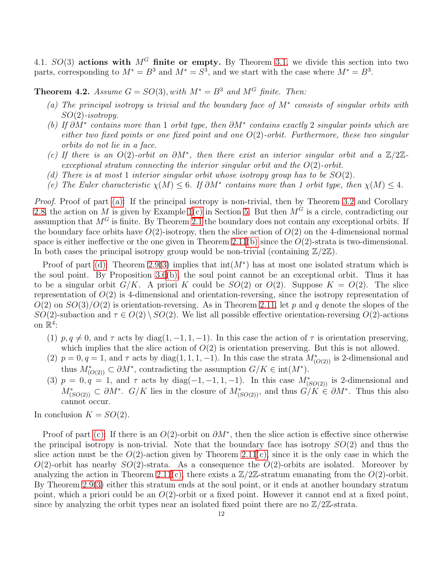4.1.  $SO(3)$  actions with  $M<sup>G</sup>$  finite or empty. By Theorem [3.1,](#page-6-0) we divide this section into two parts, corresponding to  $M^* = B^3$  and  $M^* = S^3$ , and we start with the case where  $M^* = B^3$ .

<span id="page-11-1"></span><span id="page-11-0"></span>**Theorem 4.2.** Assume  $G = SO(3)$ , with  $M^* = B^3$  and  $M^G$  finite. Then:

- (a) The principal isotropy is trivial and the boundary face of M<sup>∗</sup> consists of singular orbits with  $SO(2)$ -isotropy.
- <span id="page-11-4"></span>(b) If  $\partial M^*$  contains more than 1 orbit type, then  $\partial M^*$  contains exactly 2 singular points which are either two fixed points or one fixed point and one  $O(2)$ -orbit. Furthermore, these two singular orbits do not lie in a face.
- <span id="page-11-3"></span>(c) If there is an O(2)-orbit on  $\partial M^*$ , then there exist an interior singular orbit and a  $\mathbb{Z}/2\mathbb{Z}$ exceptional stratum connecting the interior singular orbit and the  $O(2)$ -orbit.
- <span id="page-11-5"></span><span id="page-11-2"></span>(d) There is at most 1 interior singular orbit whose isotropy group has to be  $SO(2)$ .
- (e) The Euler characteristic  $\chi(M) \leq 6$ . If  $\partial M^*$  contains more than 1 orbit type, then  $\chi(M) \leq 4$ .

Proof. Proof of part [\(a\):](#page-11-1) If the principal isotropy is non-trivial, then by Theorem [3.2](#page-7-2) and Corollary [2.8,](#page-4-1) the action on M is given by Example [1](#page-18-1)[\(c\)](#page-18-4) in Section [5.](#page-18-0) But then  $M<sup>G</sup>$  is a circle, contradicting our assumption that  $M<sup>G</sup>$  is finite. By Theorem [2.1](#page-3-1) the boundary does not contain any exceptional orbits. If the boundary face orbits have  $O(2)$ -isotropy, then the slice action of  $O(2)$  on the 4-dimensional normal space is either ineffective or the one given in Theorem [2.11](#page-5-4)[\(b\)](#page-5-5) since the  $O(2)$ -strata is two-dimensional. In both cases the principal isotropy group would be non-trivial (containing  $\mathbb{Z}/2\mathbb{Z}$ ).

Proof of part [\(d\):](#page-11-2) Theorem [2.9](#page-5-2)[\(3\)](#page-5-0) implies that  $int(M^*)$  has at most one isolated stratum which is the soul point. By Proposition [3.6](#page-9-2)[\(b\),](#page-9-1) the soul point cannot be an exceptional orbit. Thus it has to be a singular orbit  $G/K$ . A priori K could be  $SO(2)$  or  $O(2)$ . Suppose  $K = O(2)$ . The slice representation of  $O(2)$  is 4-dimensional and orientation-reversing, since the isotropy representation of  $O(2)$  on  $SO(3)/O(2)$  is orientation-reversing. As in Theorem [2.11,](#page-5-4) let p and q denote the slopes of the SO(2)-subaction and  $\tau \in O(2) \setminus SO(2)$ . We list all possible effective orientation-reversing  $O(2)$ -actions on  $\mathbb{R}^4$ :

- (1)  $p, q \neq 0$ , and  $\tau$  acts by diag(1, -1, 1, -1). In this case the action of  $\tau$  is orientation preserving, which implies that the slice action of  $O(2)$  is orientation preserving. But this is not allowed.
- (2)  $p = 0, q = 1$ , and  $\tau$  acts by diag(1, 1, 1, -1). In this case the strata  $M^*_{(O(2))}$  is 2-dimensional and thus  $M^*_{(O(2))} \subset \partial M^*$ , contradicting the assumption  $G/K \in \text{int}(M^*)$ .
- (3)  $p = 0, q = 1$ , and  $\tau$  acts by diag(-1, -1, 1, -1). In this case  $M^*_{(SO(2))}$  is 2-dimensional and  $M^*_{(SO(2))} \subset \partial M^*$ .  $G/K$  lies in the closure of  $M^*_{(SO(2))}$ , and thus  $G/K \in \partial M^*$ . Thus this also cannot occur.

In conclusion  $K = SO(2)$ .

Proof of part [\(c\):](#page-11-3) If there is an  $O(2)$ -orbit on  $\partial M^*$ , then the slice action is effective since otherwise the principal isotropy is non-trivial. Note that the boundary face has isotropy  $SO(2)$  and thus the slice action must be the  $O(2)$ -action given by Theorem [2.11](#page-5-4)[\(c\),](#page-5-6) since it is the only case in which the  $O(2)$ -orbit has nearby  $SO(2)$ -strata. As a consequence the  $O(2)$ -orbits are isolated. Moreover by analyzing the action in Theorem [2.11](#page-5-4)[\(c\),](#page-5-6) there exists a  $\mathbb{Z}/2\mathbb{Z}$ -stratum emanating from the  $O(2)$ -orbit. By Theorem [2.9\(](#page-5-2)[3\)](#page-5-0) either this stratum ends at the soul point, or it ends at another boundary stratum point, which a priori could be an  $O(2)$ -orbit or a fixed point. However it cannot end at a fixed point, since by analyzing the orbit types near an isolated fixed point there are no  $\mathbb{Z}/2\mathbb{Z}$ -strata.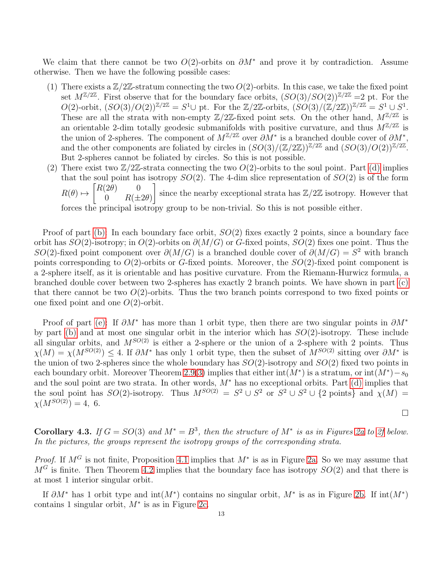We claim that there cannot be two  $O(2)$ -orbits on  $\partial M^*$  and prove it by contradiction. Assume otherwise. Then we have the following possible cases:

- (1) There exists a  $\mathbb{Z}/2\mathbb{Z}$ -stratum connecting the two  $O(2)$ -orbits. In this case, we take the fixed point set  $M^{\mathbb{Z}/2\mathbb{Z}}$ . First observe that for the boundary face orbits,  $(SO(3)/SO(2))^{\mathbb{Z}/2\mathbb{Z}}=2$  pt. For the  $O(2)$ -orbit,  $(SO(3)/O(2))^{Z/2Z} = S^1 \cup \text{ pt. For the } Z/2Z$ -orbits,  $(SO(3)/Z/2Z)Z^{Z/2Z} = S^1 \cup S^1$ . These are all the strata with non-empty  $\mathbb{Z}/2\mathbb{Z}$ -fixed point sets. On the other hand,  $M^{\mathbb{Z}/2\mathbb{Z}}$  is an orientable 2-dim totally geodesic submanifolds with positive curvature, and thus  $M^{\mathbb{Z}/2\mathbb{Z}}$  is the union of 2-spheres. The component of  $M^{\mathbb{Z}/2\mathbb{Z}}$  over  $\partial M^*$  is a branched double cover of  $\partial M^*$ , and the other components are foliated by circles in  $(SO(3)/(\mathbb{Z}/2\mathbb{Z}))^{\mathbb{Z}/2\mathbb{Z}}$  and  $(SO(3)/O(2))^{\mathbb{Z}/2\mathbb{Z}}$ . But 2-spheres cannot be foliated by circles. So this is not possible.
- (2) There exist two  $\mathbb{Z}/2\mathbb{Z}$ -strata connecting the two  $O(2)$ -orbits to the soul point. Part [\(d\)](#page-11-2) implies that the soul point has isotropy  $SO(2)$ . The 4-dim slice representation of  $SO(2)$  is of the form  $R(\theta) \mapsto \begin{bmatrix} R(2\theta) & 0 \\ 0 & R(1) \end{bmatrix}$ 0  $R(\pm 2\theta)$ since the nearby exceptional strata has  $\mathbb{Z}/2\mathbb{Z}$  isotropy. However that forces the principal isotropy group to be non-trivial. So this is not possible either.

Proof of part [\(b\):](#page-11-4) In each boundary face orbit,  $SO(2)$  fixes exactly 2 points, since a boundary face orbit has  $SO(2)$ -isotropy; in  $O(2)$ -orbits on  $\partial(M/G)$  or G-fixed points,  $SO(2)$  fixes one point. Thus the SO(2)-fixed point component over  $\partial(M/G)$  is a branched double cover of  $\partial(M/G) = S^2$  with branch points corresponding to  $O(2)$ -orbits or G-fixed points. Moreover, the  $SO(2)$ -fixed point component is a 2-sphere itself, as it is orientable and has positive curvature. From the Riemann-Hurwicz formula, a branched double cover between two 2-spheres has exactly 2 branch points. We have shown in part [\(c\)](#page-11-3) that there cannot be two  $O(2)$ -orbits. Thus the two branch points correspond to two fixed points or one fixed point and one  $O(2)$ -orbit.

Proof of part [\(e\):](#page-11-5) If  $\partial M^*$  has more than 1 orbit type, then there are two singular points in  $\partial M^*$ by part [\(b\)](#page-11-4) and at most one singular orbit in the interior which has  $SO(2)$ -isotropy. These include all singular orbits, and  $M^{SO(2)}$  is either a 2-sphere or the union of a 2-sphere with 2 points. Thus  $\chi(M) = \chi(M^{SO(2)}) \leq 4$ . If  $\partial M^*$  has only 1 orbit type, then the subset of  $M^{SO(2)}$  sitting over  $\partial M^*$  is the union of two 2-spheres since the whole boundary has  $SO(2)$ -isotropy and  $SO(2)$  fixed two points in each boundary orbit. Moreover Theorem [2.9\(](#page-5-2)[3\)](#page-5-0) implies that either  $\text{int}(M^*)$  is a stratum, or  $\text{int}(M^*)-s_0$ and the soul point are two strata. In other words,  $M^*$  has no exceptional orbits. Part [\(d\)](#page-11-2) implies that the soul point has  $SO(2)$ -isotropy. Thus  $M^{SO(2)} = S^2 \cup S^2$  or  $S^2 \cup S^2 \cup \{2 \text{ points}\}\$ and  $\chi(M) =$  $\chi(M^{SO(2)})=4, 6.$  $\Box$ 

<span id="page-12-0"></span>**Corollary 4.3.** If  $G = SO(3)$  and  $M^* = B^3$ , then the structure of  $M^*$  is as in Figures [2a](#page-13-0) to [2f](#page-13-0) below. In the pictures, the groups represent the isotropy groups of the corresponding strata.

*Proof.* If  $M^G$  is not finite, Proposition [4.1](#page-10-1) implies that  $M^*$  is as in Figure [2a.](#page-13-0) So we may assume that  $M<sup>G</sup>$  is finite. Then Theorem [4.2](#page-11-0) implies that the boundary face has isotropy  $SO(2)$  and that there is at most 1 interior singular orbit.

If  $\partial M^*$  has 1 orbit type and  $\text{int}(M^*)$  contains no singular orbit,  $M^*$  is as in Figure [2b.](#page-13-0) If  $\text{int}(M^*)$ contains 1 singular orbit,  $M^*$  is as in Figure [2c.](#page-13-0)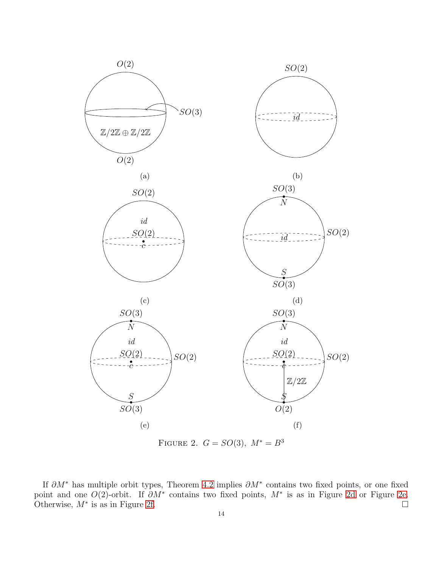<span id="page-13-0"></span>

FIGURE 2.  $G = SO(3)$ ,  $M^* = B^3$ 

If  $\partial M^*$  has multiple orbit types, Theorem [4.2](#page-11-0) implies  $\partial M^*$  contains two fixed points, or one fixed point and one  $O(2)$ -orbit. If  $\partial M^*$  contains two fixed points,  $M^*$  is as in Figure [2d](#page-13-0) or Figure [2e.](#page-13-0) Otherwise,  $M^*$  is as in Figure [2f.](#page-13-0)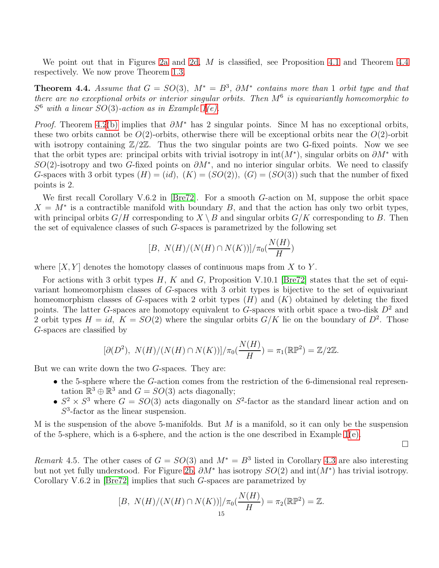We point out that in Figures [2a](#page-13-0) and [2d,](#page-13-0)  $M$  is classified, see Proposition [4.1](#page-10-1) and Theorem [4.4](#page-14-0) respectively. We now prove Theorem [1.3.](#page-2-1)

<span id="page-14-0"></span>**Theorem 4.4.** Assume that  $G = SO(3)$ ,  $M^* = B^3$ ,  $\partial M^*$  contains more than 1 orbit type and that there are no exceptional orbits or interior singular orbits. Then  $M^6$  is equivariantly homeomorphic to  $S<sup>6</sup>$  with a linear  $SO(3)$ -action as in Example [1](#page-18-1)[\(e\).](#page-19-3)

*Proof.* Theorem [4.2](#page-11-0)[\(b\)](#page-11-4) implies that  $\partial M^*$  has 2 singular points. Since M has no exceptional orbits, these two orbits cannot be  $O(2)$ -orbits, otherwise there will be exceptional orbits near the  $O(2)$ -orbit with isotropy containing  $\mathbb{Z}/2\mathbb{Z}$ . Thus the two singular points are two G-fixed points. Now we see that the orbit types are: principal orbits with trivial isotropy in  $int(M^*)$ , singular orbits on  $\partial M^*$  with SO(2)-isotropy and two G-fixed points on  $\partial M^*$ , and no interior singular orbits. We need to classify G-spaces with 3 orbit types  $(H) = (id)$ ,  $(K) = (SO(2))$ ,  $(G) = (SO(3))$  such that the number of fixed points is 2.

We first recall Corollary V.6.2 in [\[Bre72\]](#page-22-19). For a smooth G-action on M, suppose the orbit space  $X = M^*$  is a contractible manifold with boundary B, and that the action has only two orbit types, with principal orbits  $G/H$  corresponding to  $X \setminus B$  and singular orbits  $G/K$  corresponding to B. Then the set of equivalence classes of such G-spaces is parametrized by the following set

$$
[B, N(H)/(N(H) \cap N(K))]/\pi_0(\frac{N(H)}{H})
$$

where  $[X, Y]$  denotes the homotopy classes of continuous maps from X to Y.

For actions with 3 orbit types  $H, K$  and  $G$ , Proposition V.10.1 [\[Bre72\]](#page-22-19) states that the set of equivariant homeomorphism classes of G-spaces with 3 orbit types is bijective to the set of equivariant homeomorphism classes of G-spaces with 2 orbit types  $(H)$  and  $(K)$  obtained by deleting the fixed points. The latter G-spaces are homotopy equivalent to G-spaces with orbit space a two-disk  $D^2$  and 2 orbit types  $H = id$ ,  $K = SO(2)$  where the singular orbits  $G/K$  lie on the boundary of  $D^2$ . Those G-spaces are classified by

$$
[\partial(D^2), N(H)/(N(H) \cap N(K))] / \pi_0(\frac{N(H)}{H}) = \pi_1(\mathbb{RP}^2) = \mathbb{Z}/2\mathbb{Z}.
$$

But we can write down the two G-spaces. They are:

- the 5-sphere where the G-action comes from the restriction of the 6-dimensional real representation  $\mathbb{R}^3 \oplus \mathbb{R}^3$  and  $G = SO(3)$  acts diagonally;
- $S^2 \times S^3$  where  $G = SO(3)$  acts diagonally on  $S^2$ -factor as the standard linear action and on  $S<sup>3</sup>$ -factor as the linear suspension.

M is the suspension of the above 5-manifolds. But  $M$  is a manifold, so it can only be the suspension of the 5-sphere, which is a 6-sphere, and the action is the one described in Example  $1(e)$ .

 $\Box$ 

Remark 4.5. The other cases of  $G = SO(3)$  and  $M^* = B^3$  listed in Corollary [4.3](#page-12-0) are also interesting but not yet fully understood. For Figure [2b,](#page-13-0)  $\partial M^*$  has isotropy  $SO(2)$  and  $\text{int}(M^*)$  has trivial isotropy. Corollary V.6.2 in [\[Bre72\]](#page-22-19) implies that such G-spaces are parametrized by

$$
[B, N(H)/(N(H) \cap N(K))]/\pi_0(\frac{N(H)}{H}) = \pi_2(\mathbb{RP}^2) = \mathbb{Z}.
$$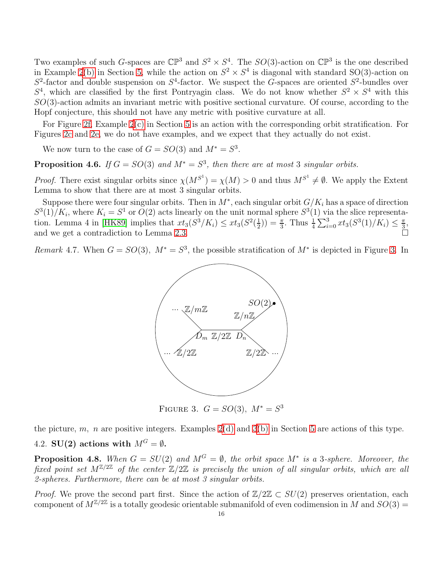Two examples of such G-spaces are  $\mathbb{CP}^3$  and  $S^2 \times S^4$ . The  $SO(3)$ -action on  $\mathbb{CP}^3$  is the one described in Example [2](#page-19-0)[\(b\)](#page-19-4) in Section [5,](#page-18-0) while the action on  $S^2 \times S^4$  is diagonal with standard SO(3)-action on  $S^2$ -factor and double suspension on  $S^4$ -factor. We suspect the G-spaces are oriented  $S^2$ -bundles over  $S<sup>4</sup>$ , which are classified by the first Pontryagin class. We do not know whether  $S<sup>2</sup> \times S<sup>4</sup>$  with this SO(3)-action admits an invariant metric with positive sectional curvature. Of course, according to the Hopf conjecture, this should not have any metric with positive curvature at all.

For Figure [2f,](#page-13-0) Example [2](#page-19-0)[\(c\)](#page-19-1) in Section [5](#page-18-0) is an action with the corresponding orbit stratification. For Figures [2c](#page-13-0) and [2e,](#page-13-0) we do not have examples, and we expect that they actually do not exist.

We now turn to the case of  $G = SO(3)$  and  $M^* = S^3$ .

<span id="page-15-1"></span>**Proposition 4.6.** If  $G = SO(3)$  and  $M^* = S^3$ , then there are at most 3 singular orbits.

*Proof.* There exist singular orbits since  $\chi(M^{S^1}) = \chi(M) > 0$  and thus  $M^{S^1} \neq \emptyset$ . We apply the Extent Lemma to show that there are at most 3 singular orbits.

Suppose there were four singular orbits. Then in  $M^*$ , each singular orbit  $G/K_i$  has a space of direction  $S^3(1)/K_i$ , where  $K_i = S^1$  or  $O(2)$  acts linearly on the unit normal sphere  $S^3(1)$  via the slice representa-tion. Lemma 4 in [\[HK89\]](#page-22-7) implies that  $xt_3(S^3/K_i) \leq xt_3(S^2(\frac{1}{2}))$  $(\frac{1}{2})) = \frac{\pi}{3}$ . Thus  $\frac{1}{4} \sum_{i=0}^{3} xt_3(S^3(1)/K_i) \leq \frac{\pi}{3}$  $\frac{\pi}{3}$ and we get a contradiction to Lemma [2.3.](#page-4-3)

<span id="page-15-0"></span>Remark 4.7. When  $G = SO(3)$ ,  $M^* = S^3$ , the possible stratification of  $M^*$  is depicted in Figure [3.](#page-15-0) In



FIGURE 3.  $G = SO(3), M^* = S^3$ 

the picture, m, n are positive integers. Examples  $2(d)$  $2(d)$  and  $3(b)$  $3(b)$  in Section [5](#page-18-0) are actions of this type.

# 4.2. SU(2) actions with  $M^G = \emptyset$ .

<span id="page-15-2"></span>**Proposition 4.8.** When  $G = SU(2)$  and  $M^G = \emptyset$ , the orbit space  $M^*$  is a 3-sphere. Moreover, the fixed point set  $M^{\mathbb{Z}/2\mathbb{Z}}$  of the center  $\mathbb{Z}/2\mathbb{Z}$  is precisely the union of all singular orbits, which are all 2-spheres. Furthermore, there can be at most 3 singular orbits.

*Proof.* We prove the second part first. Since the action of  $\mathbb{Z}/2\mathbb{Z} \subset SU(2)$  preserves orientation, each component of  $M^{\mathbb{Z}/2\mathbb{Z}}$  is a totally geodesic orientable submanifold of even codimension in M and  $SO(3)$  =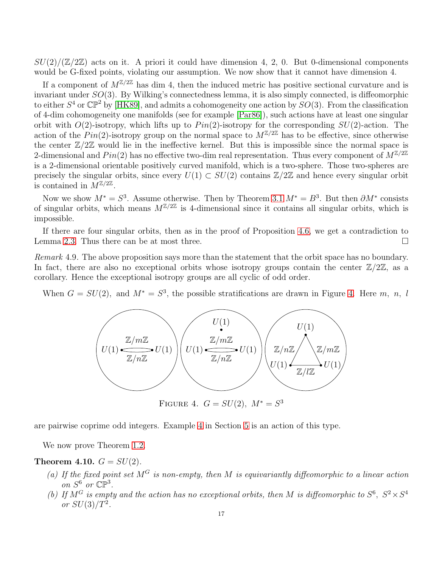$SU(2)/(\mathbb{Z}/2\mathbb{Z})$  acts on it. A priori it could have dimension 4, 2, 0. But 0-dimensional components would be G-fixed points, violating our assumption. We now show that it cannot have dimension 4.

If a component of  $M^{\mathbb{Z}/2\mathbb{Z}}$  has dim 4, then the induced metric has positive sectional curvature and is invariant under SO(3). By Wilking's connectedness lemma, it is also simply connected, is diffeomorphic to either  $S^4$  or  $\mathbb{CP}^2$  by [\[HK89\]](#page-22-7), and admits a cohomogeneity one action by  $SO(3)$ . From the classification of 4-dim cohomogeneity one manifolds (see for example [\[Par86\]](#page-22-27)), such actions have at least one singular orbit with  $O(2)$ -isotropy, which lifts up to  $Pin(2)$ -isotropy for the corresponding  $SU(2)$ -action. The action of the Pin(2)-isotropy group on the normal space to  $M^{\mathbb{Z}/2\mathbb{Z}}$  has to be effective, since otherwise the center  $\mathbb{Z}/2\mathbb{Z}$  would lie in the ineffective kernel. But this is impossible since the normal space is 2-dimensional and  $Pin(2)$  has no effective two-dim real representation. Thus every component of  $M^{\mathbb{Z}/2\mathbb{Z}}$ is a 2-dimensional orientable positively curved manifold, which is a two-sphere. Those two-spheres are precisely the singular orbits, since every  $U(1) \subset SU(2)$  contains  $\mathbb{Z}/2\mathbb{Z}$  and hence every singular orbit is contained in  $\tilde{M}^{\mathbb{Z}/2\mathbb{Z}}$ .

Now we show  $M^* = S^3$ . Assume otherwise. Then by Theorem [3.1](#page-6-0)  $M^* = B^3$ . But then  $\partial M^*$  consists of singular orbits, which means  $M^{\mathbb{Z}/2\mathbb{Z}}$  is 4-dimensional since it contains all singular orbits, which is impossible.

If there are four singular orbits, then as in the proof of Proposition [4.6,](#page-15-1) we get a contradiction to Lemma [2.3.](#page-4-3) Thus there can be at most three.  $\Box$ 

Remark 4.9. The above proposition says more than the statement that the orbit space has no boundary. In fact, there are also no exceptional orbits whose isotropy groups contain the center  $\mathbb{Z}/2\mathbb{Z}$ , as a corollary. Hence the exceptional isotropy groups are all cyclic of odd order.

<span id="page-16-0"></span>When  $G = SU(2)$ , and  $M^* = S^3$ , the possible stratifications are drawn in Figure [4.](#page-16-0) Here m, n, l



FIGURE 4.  $G = SU(2), M^* = S^3$ 

are pairwise coprime odd integers. Example [4](#page-21-2) in Section [5](#page-18-0) is an action of this type.

We now prove Theorem [1.2.](#page-1-1)

<span id="page-16-1"></span>Theorem 4.10.  $G = SU(2)$ .

- (a) If the fixed point set  $M<sup>G</sup>$  is non-empty, then M is equivariantly diffeomorphic to a linear action on  $S^6$  or  $\mathbb{CP}^3$ .
- <span id="page-16-2"></span>(b) If  $M^G$  is empty and the action has no exceptional orbits, then M is diffeomorphic to  $S^6$ ,  $S^2 \times S^4$ or  $SU(3)/T^2$ .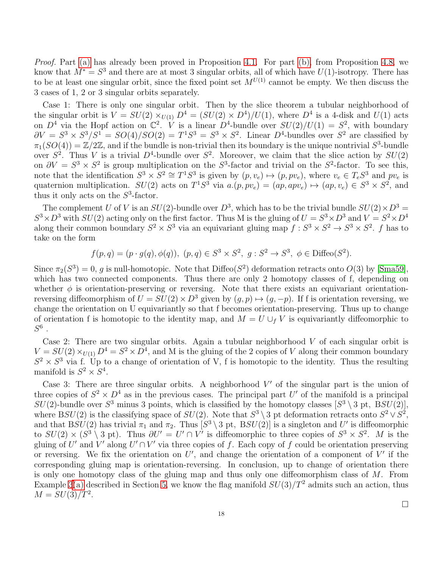Proof. Part [\(a\)](#page-16-1) has already been proved in Proposition [4.1.](#page-10-1) For part [\(b\),](#page-16-2) from Proposition [4.8,](#page-15-2) we know that  $M^* = S^3$  and there are at most 3 singular orbits, all of which have  $U(1)$ -isotropy. There has to be at least one singular orbit, since the fixed point set  $M^{U(1)}$  cannot be empty. We then discuss the 3 cases of 1, 2 or 3 singular orbits separately.

Case 1: There is only one singular orbit. Then by the slice theorem a tubular neighborhood of the singular orbit is  $V = SU(2) \times_{U(1)} D^4 = (SU(2) \times D^4)/U(1)$ , where  $D^4$  is a 4-disk and  $U(1)$  acts on  $D^4$  via the Hopf action on  $\mathbb{C}^2$ . V is a linear  $D^4$ -bundle over  $SU(2)/U(1) = S^2$ , with boundary  $\partial V = S^3 \times S^3 / S^1 = SO(4) / SO(2) = T^1 S^3 = S^3 \times S^2$ . Linear  $D^4$ -bundles over  $S^2$  are classified by  $\pi_1(SO(4)) = \mathbb{Z}/2\mathbb{Z}$ , and if the bundle is non-trivial then its boundary is the unique nontrivial  $S^3$ -bundle over  $S^2$ . Thus V is a trivial  $D^4$ -bundle over  $S^2$ . Moreover, we claim that the slice action by  $SU(2)$ on  $\partial V = S^3 \times S^2$  is group multiplication on the  $S^3$ -factor and trivial on the  $S^2$ -factor. To see this, note that the identification  $S^3 \times S^2 \cong T^1S^3$  is given by  $(p, v_e) \mapsto (p, pv_e)$ , where  $v_e \in T_eS^3$  and  $pv_e$  is quaternion multiplication.  $SU(2)$  acts on  $T^1S^3$  via  $a.(p, pv_e) = (ap, apv_e) \mapsto (ap, v_e) \in S^3 \times S^2$ , and thus it only acts on the  $S^3$ -factor.

The complement U of V is an  $SU(2)$ -bundle over  $D^3$ , which has to be the trivial bundle  $SU(2) \times D^3 =$  $S^3 \times D^3$  with  $SU(2)$  acting only on the first factor. Thus M is the gluing of  $U = S^3 \times D^3$  and  $V = S^2 \times D^4$ along their common boundary  $S^2 \times S^3$  via an equivariant gluing map  $f: S^3 \times S^2 \to S^3 \times S^2$ . f has to take on the form

 $f(p,q) = (p \cdot g(q), \phi(q)), (p,q) \in S^3 \times S^2, g : S^2 \to S^3, \phi \in \text{Diffeo}(S^2).$ 

Since  $\pi_2(S^3) = 0$ , g is null-homotopic. Note that Diffeo( $S^2$ ) deformation retracts onto  $O(3)$  by [\[Sma59\]](#page-22-28), which has two connected components. Thus there are only 2 homotopy classes of f, depending on whether  $\phi$  is orientation-preserving or reversing. Note that there exists an equivariant orientationreversing diffeomorphism of  $U = SU(2) \times D^3$  given by  $(g, p) \mapsto (g, -p)$ . If f is orientation reversing, we change the orientation on U equivariantly so that f becomes orientation-preserving. Thus up to change of orientation f is homotopic to the identity map, and  $M = U \cup_f V$  is equivariantly diffeomorphic to  $S^6$  .

Case 2: There are two singular orbits. Again a tubular neighborhood  $V$  of each singular orbit is  $V = SU(2) \times_{U(1)} D^4 = S^2 \times D^4$ , and M is the gluing of the 2 copies of V along their common boundary  $S^2 \times S^3$  via f. Up to a change of orientation of V, f is homotopic to the identity. Thus the resulting manifold is  $S^2 \times S^4$ .

Case 3: There are three singular orbits. A neighborhood  $V'$  of the singular part is the union of three copies of  $S^2 \times D^4$  as in the previous cases. The principal part U' of the manifold is a principal  $SU(2)$ -bundle over  $S^3$  minus 3 points, which is classified by the homotopy classes  $[S^3 \setminus 3$  pt,  $BSU(2)]$ , where BSU(2) is the classifying space of  $SU(2)$ . Note that  $S^3 \setminus 3$  pt deformation retracts onto  $S^2 \vee S^2$ , and that  $BSU(2)$  has trivial  $\pi_1$  and  $\pi_2$ . Thus  $[S^3 \setminus 3$  pt,  $BSU(2)]$  is a singleton and U' is diffeomorphic to  $SU(2) \times (S^3 \setminus 3$  pt). Thus  $\partial U' = U' \cap V'$  is diffeomorphic to three copies of  $S^3 \times S^2$ . M is the gluing of U' and V' along  $U' \cap V'$  via three copies of f. Each copy of f could be orientation preserving or reversing. We fix the orientation on  $U'$ , and change the orientation of a component of  $V'$  if the corresponding gluing map is orientation-reversing. In conclusion, up to change of orientation there is only one homotopy class of the gluing map and thus only one diffeomorphism class of  $M$ . From Example [3](#page-20-1)[\(a\)](#page-20-2) described in Section [5,](#page-18-0) we know the flag manifold  $SU(3)/T^2$  admits such an action, thus  $M = SU(3)/T^2$ .

 $\Box$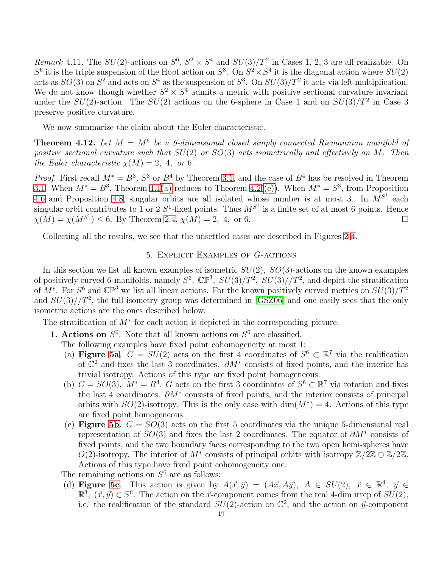Remark 4.11. The  $SU(2)$ -actions on  $S^6$ ,  $S^2 \times S^4$  and  $SU(3)/T^2$  in Cases 1, 2, 3 are all realizable. On  $S^6$  it is the triple suspension of the Hopf action on  $S^3$ . On  $S^2 \times S^4$  it is the diagonal action where  $SU(2)$ acts as  $SO(3)$  on  $S^2$  and acts on  $S^4$  as the suspension of  $S^3$ . On  $SU(3)/T^2$  it acts via left multiplication. We do not know though whether  $S^2 \times S^4$  admits a metric with positive sectional curvature invariant under the  $SU(2)$ -action. The  $SU(2)$  actions on the 6-sphere in Case 1 and on  $SU(3)/T^2$  in Case 3 preserve positive curvature.

We now summarize the claim about the Euler characteristic.

**Theorem 4.12.** Let  $M = M^6$  be a 6-dimensional closed simply connected Riemannian manifold of positive sectional curvature such that  $SU(2)$  or  $SO(3)$  acts isometrically and effectively on M. Then the Euler characteristic  $\chi(M) = 2$ , 4, or 6.

*Proof.* First recall  $M^* = B^3$ ,  $S^3$  or  $B^4$  by Theorem [3.1,](#page-6-0) and the case of  $B^4$  has be resolved in Theorem [3.1.](#page-6-0) When  $M^* = B^3$ , Theorem [1.1](#page-1-0)[\(a\)](#page-1-3) reduces to Theorem [4.2](#page-11-0)[\(\(e\)\)](#page-11-5). When  $M^* = S^3$ , from Proposition [4.6](#page-15-1) and Proposition [4.8,](#page-15-2) singular orbits are all isolated whose number is at most 3. In  $M^{S^1}$  each singular orbit contributes to 1 or 2  $S^1$ -fixed points. Thus  $M^{S^1}$  is a finite set of at most 6 points. Hence  $\chi(M) = \chi(M^{S^1}) \leq 6$ . By Theorem 2.4,  $\chi(M) = 2$ , 4, or 6.

<span id="page-18-0"></span>Collecting all the results, we see that the unsettled cases are described in Figures [2-](#page-13-0)[4.](#page-16-0)

#### 5. Explicit Examples of G-actions

In this section we list all known examples of isometric  $SU(2)$ ,  $SO(3)$ -actions on the known examples of positively curved 6-manifolds, namely  $S^6$ ,  $\mathbb{CP}^3$ ,  $SU(3)/T^2$ ,  $SU(3)/T^2$ , and depict the stratification of  $M^*$ . For  $S^6$  and  $\mathbb{CP}^3$  we list all linear actions. For the known positively curved metrics on  $SU(3)/T^2$ and  $SU(3)/T^2$ , the full isometry group was determined in [\[GSZ06\]](#page-22-29) and one easily sees that the only isometric actions are the ones described below.

<span id="page-18-1"></span>The stratification of  $M^*$  for each action is depicted in the corresponding picture.

<span id="page-18-3"></span>**1. Actions on**  $S^6$ . Note that all known actions on  $S^6$  are classified.

The following examples have fixed point cohomogeneity at most 1:

- (a) Figure [5a](#page-19-5).  $G = SU(2)$  acts on the first 4 coordinates of  $S^6 \subset \mathbb{R}^7$  via the realification of  $\mathbb{C}^2$  and fixes the last 3 coordinates.  $\partial M^*$  consists of fixed points, and the interior has trivial isotropy. Actions of this type are fixed point homogeneous.
- <span id="page-18-2"></span>(b)  $G = SO(3)$ ,  $M^* = B^4$ . G acts on the first 3 coordinates of  $S^6 \subset \mathbb{R}^7$  via rotation and fixes the last 4 coordinates.  $\partial M^*$  consists of fixed points, and the interior consists of principal orbits with  $SO(2)$ -isotropy. This is the only case with  $\dim(M^*)=4$ . Actions of this type are fixed point homogeneous.
- <span id="page-18-4"></span>(c) Figure [5b](#page-19-5).  $G = SO(3)$  acts on the first 5 coordinates via the unique 5-dimensional real representation of  $SO(3)$  and fixes the last 2 coordinates. The equator of  $\partial M^*$  consists of fixed points, and the two boundary faces corresponding to the two open hemi-spheres have O(2)-isotropy. The interior of  $M^*$  consists of principal orbits with isotropy  $\mathbb{Z}/2\mathbb{Z} \oplus \mathbb{Z}/2\mathbb{Z}$ . Actions of this type have fixed point cohomogeneity one.
- The remaining actions on  $S^6$  are as follows:
- (d) Figure [5c](#page-19-5). This action is given by  $A(\vec{x}, \vec{y}) = (A\vec{x}, A\vec{y}), A \in SU(2), \vec{x} \in \mathbb{R}^4, \vec{y} \in$  $\mathbb{R}^3$ ,  $(\vec{x}, \vec{y}) \in S^6$ . The action on the  $\vec{x}$ -component comes from the real 4-dim irrep of  $SU(2)$ , i.e. the realification of the standard  $SU(2)$ -action on  $\mathbb{C}^2$ , and the action on  $\vec{y}$ -component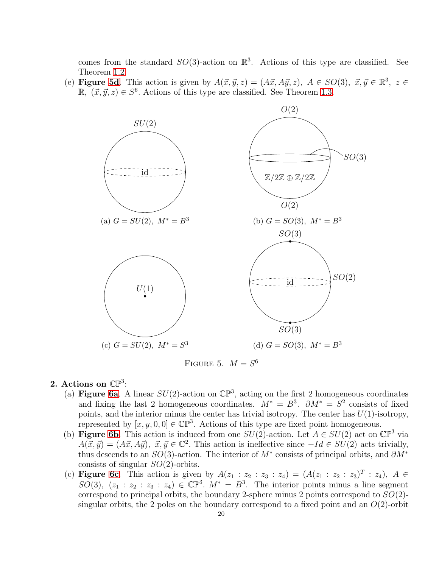comes from the standard  $SO(3)$ -action on  $\mathbb{R}^3$ . Actions of this type are classified. See Theorem [1.2.](#page-1-1)

<span id="page-19-5"></span><span id="page-19-3"></span>(e) Figure [5d](#page-19-5). This action is given by  $A(\vec{x}, \vec{y}, z) = (A\vec{x}, A\vec{y}, z)$ ,  $A \in SO(3), \ \vec{x}, \vec{y} \in \mathbb{R}^3$ ,  $z \in$  $\mathbb{R}, (\vec{x}, \vec{y}, z) \in S^6$ . Actions of this type are classified. See Theorem [1.3.](#page-2-1)



FIGURE 5.  $M = S^6$ 

# <span id="page-19-2"></span><span id="page-19-0"></span>2. Actions on  $\mathbb{CP}^3$ :

- (a) Figure [6a](#page-20-3). A linear  $SU(2)$ -action on  $\mathbb{CP}^3$ , acting on the first 2 homogeneous coordinates and fixing the last 2 homogeneous coordinates.  $M^* = B^3$ .  $\partial M^* = S^2$  consists of fixed points, and the interior minus the center has trivial isotropy. The center has  $U(1)$ -isotropy, represented by  $[x, y, 0, 0] \in \mathbb{CP}^3$ . Actions of this type are fixed point homogeneous.
- <span id="page-19-4"></span>(b) **Figure [6b](#page-20-3)**. This action is induced from one  $SU(2)$ -action. Let  $A \in SU(2)$  act on  $\mathbb{CP}^3$  via  $A(\vec{x}, \vec{y}) = (A\vec{x}, A\vec{y}), \ \vec{x}, \vec{y} \in \mathbb{C}^2$ . This action is ineffective since  $-Id \in SU(2)$  acts trivially, thus descends to an  $SO(3)$ -action. The interior of  $M^*$  consists of principal orbits, and  $\partial M^*$ consists of singular  $SO(2)$ -orbits.
- <span id="page-19-1"></span>(c) **Figure [6c](#page-20-3)**. This action is given by  $A(z_1 : z_2 : z_3 : z_4) = (A(z_1 : z_2 : z_3)^T : z_4), A \in$ SO(3),  $(z_1 : z_2 : z_3 : z_4) \in \mathbb{CP}^3$ .  $M^* = B^3$ . The interior points minus a line segment correspond to principal orbits, the boundary 2-sphere minus 2 points correspond to  $SO(2)$ singular orbits, the 2 poles on the boundary correspond to a fixed point and an  $O(2)$ -orbit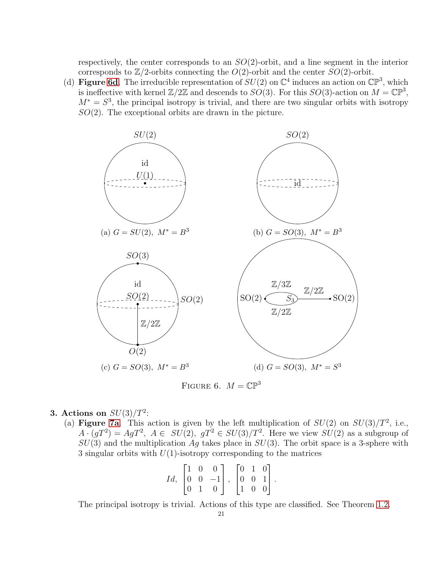respectively, the center corresponds to an  $SO(2)$ -orbit, and a line segment in the interior corresponds to  $\mathbb{Z}/2$ -orbits connecting the  $O(2)$ -orbit and the center  $SO(2)$ -orbit.

<span id="page-20-3"></span><span id="page-20-0"></span>(d) **Figure [6d](#page-20-3)**. The irreducible representation of  $SU(2)$  on  $\mathbb{C}^4$  induces an action on  $\mathbb{CP}^3$ , which is ineffective with kernel  $\mathbb{Z}/2\mathbb{Z}$  and descends to  $SO(3)$ . For this  $SO(3)$ -action on  $M = \mathbb{CP}^3$ ,  $M^* = S^3$ , the principal isotropy is trivial, and there are two singular orbits with isotropy  $SO(2)$ . The exceptional orbits are drawn in the picture.





# <span id="page-20-2"></span><span id="page-20-1"></span>3. Actions on  $SU(3)/T^2$ :

(a) Figure [7a](#page-21-3). This action is given by the left multiplication of  $SU(2)$  on  $SU(3)/T^2$ , i.e.,  $A \cdot (gT^2) = AgT^2$ ,  $A \in SU(2)$ ,  $gT^2 \in SU(3)/T^2$ . Here we view  $SU(2)$  as a subgroup of  $SU(3)$  and the multiplication Ag takes place in  $SU(3)$ . The orbit space is a 3-sphere with 3 singular orbits with  $U(1)$ -isotropy corresponding to the matrices

$$
Id, \begin{bmatrix} 1 & 0 & 0 \\ 0 & 0 & -1 \\ 0 & 1 & 0 \end{bmatrix}, \begin{bmatrix} 0 & 1 & 0 \\ 0 & 0 & 1 \\ 1 & 0 & 0 \end{bmatrix}.
$$

The principal isotropy is trivial. Actions of this type are classified. See Theorem [1.2.](#page-1-1)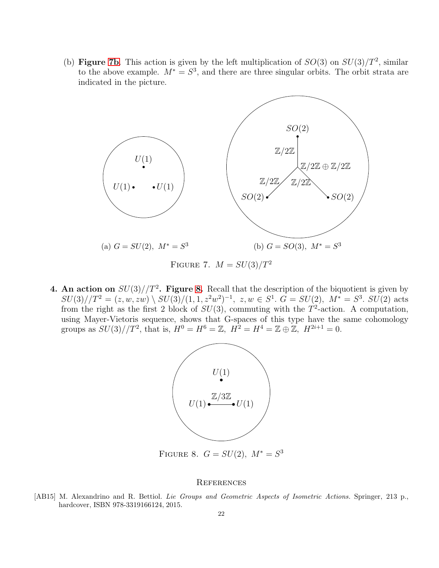<span id="page-21-3"></span><span id="page-21-1"></span>(b) Figure [7b](#page-21-3). This action is given by the left multiplication of  $SO(3)$  on  $SU(3)/T^2$ , similar to the above example.  $M^* = S^3$ , and there are three singular orbits. The orbit strata are indicated in the picture.



FIGURE 7.  $M = SU(3)/T^2$ 

<span id="page-21-4"></span><span id="page-21-2"></span>**4. An action on**  $SU(3)/T^2$ . Figure [8.](#page-21-4) Recall that the description of the biquotient is given by  $SU(3)/T^2 = (z, w, zw) \setminus SU(3)/(1, 1, z^2w^2)^{-1}, z, w \in S^1$ .  $G = SU(2)$ ,  $M^* = S^3$ .  $SU(2)$  acts from the right as the first 2 block of  $SU(3)$ , commuting with the  $T^2$ -action. A computation, using Mayer-Vietoris sequence, shows that G-spaces of this type have the same cohomology groups as  $SU(3)/T^2$ , that is,  $H^0 = H^6 = \mathbb{Z}$ ,  $H^2 = H^4 = \mathbb{Z} \oplus \mathbb{Z}$ ,  $H^{2i+1} = 0$ .



#### **REFERENCES**

<span id="page-21-0"></span>[AB15] M. Alexandrino and R. Bettiol. Lie Groups and Geometric Aspects of Isometric Actions. Springer, 213 p., hardcover, ISBN 978-3319166124, 2015.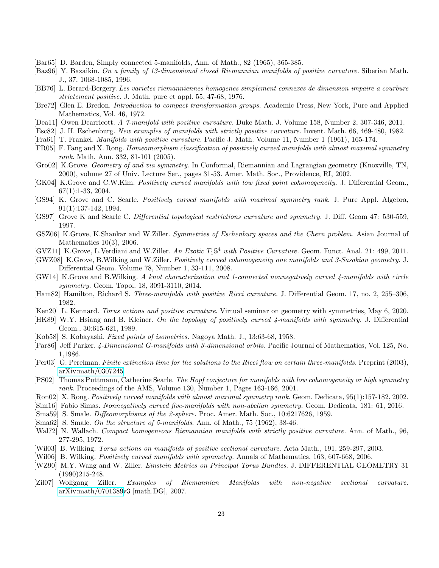- <span id="page-22-10"></span>[Bar65] D. Barden, Simply connected 5-manifolds, Ann. of Math., 82 (1965), 365-385.
- <span id="page-22-3"></span>[Baz96] Y. Bazaikin. On a family of 13-dimensional closed Riemannian manifolds of positive curvature. Siberian Math. J., 37, 1068-1085, 1996.
- <span id="page-22-1"></span>[BB76] L. Berard-Bergery. Les varietes riemanniennes homogenes simplement connexes de dimension impaire a courbure strictement positive. J. Math. pure et appl. 55, 47-68, 1976.
- <span id="page-22-19"></span>[Bre72] Glen E. Bredon. Introduction to compact transformation groups. Academic Press, New York, Pure and Applied Mathematics, Vol. 46, 1972.
- <span id="page-22-5"></span>[Dea11] Owen Dearricott. A 7-manifold with positive curvature. Duke Math. J. Volume 158, Number 2, 307-346, 2011.
- <span id="page-22-2"></span>[Esc82] J. H. Eschenburg. New examples of manifolds with strictly positive curvature. Invent. Math. 66, 469-480, 1982.
- <span id="page-22-25"></span>[Fra61] T. Frankel. Manifolds with positive curvature. Pacific J. Math. Volume 11, Number 1 (1961), 165-174.
- <span id="page-22-14"></span>[FR05] F. Fang and X. Rong. Homeomorphism classification of positively curved manifolds with almost maximal symmetry rank. Math. Ann. 332, 81-101 (2005).
- <span id="page-22-12"></span>[Gro02] K.Grove. Geometry of and via symmetry. In Conformal, Riemannian and Lagrangian geometry (Knoxville, TN, 2000), volume 27 of Univ. Lecture Ser., pages 31-53. Amer. Math. Soc., Providence, RI, 2002.
- <span id="page-22-23"></span>[GK04] K.Grove and C.W.Kim. Positively curved manifolds with low fixed point cohomogeneity. J. Differential Geom., 67(1):1-33, 2004.
- <span id="page-22-13"></span>[GS94] K. Grove and C. Searle. Positively curved manifolds with maximal symmetry rank. J. Pure Appl. Algebra, 91(1):137-142, 1994.
- <span id="page-22-20"></span>[GS97] Grove K and Searle C. Differential topological restrictions curvature and symmetry. J. Diff. Geom 47: 530-559, 1997.
- <span id="page-22-29"></span>[GSZ06] K.Grove, K.Shankar and W.Ziller. Symmetries of Eschenburg spaces and the Chern problem. Asian Journal of Mathematics 10(3), 2006.
- <span id="page-22-4"></span>[GVZ11] K.Grove, L.Verdiani and W.Ziller. An Exotic T<sub>1</sub>S<sup>4</sup> with Positive Curvature. Geom. Funct. Anal. 21: 499, 2011.
- [GWZ08] K.Grove, B.Wilking and W.Ziller. Positively curved cohomogeneity one manifolds and 3-Sasakian geometry. J. Differential Geom. Volume 78, Number 1, 33-111, 2008.
- <span id="page-22-8"></span>[GW14] K.Grove and B.Wilking. A knot characterization and 1-connected nonnegatively curved 4-manifolds with circle symmetry. Geom. Topol. 18, 3091-3110, 2014.
- <span id="page-22-6"></span>[Ham82] Hamilton, Richard S. Three-manifolds with positive Ricci curvature. J. Differential Geom. 17, no. 2, 255–306, 1982.
- <span id="page-22-16"></span>[Ken20] L. Kennard. Torus actions and positive curvature. Virtual seminar on geometry with symmetries, May 6, 2020.
- <span id="page-22-7"></span>[HK89] W.Y. Hsiang and B. Kleiner. On the topology of positively curved 4-manifolds with symmetry. J. Differential Geom., 30:615-621, 1989.
- <span id="page-22-21"></span>[Kob58] S. Kobayashi. Fixed points of isometries. Nagoya Math. J., 13:63-68, 1958.
- <span id="page-22-27"></span>[Par86] Jeff Parker. 4-Dimensional G-manifolds with 3-dimensional orbits. Pacific Journal of Mathematics, Vol. 125, No. 1,1986.
- <span id="page-22-24"></span>[Per03] G. Perelman. Finite extinction time for the solutions to the Ricci flow on certain three-manifolds. Preprint (2003), [arXiv:math/0307245.](http://arxiv.org/abs/math/0307245)
- <span id="page-22-22"></span>[PS02] Thomas Puttmann, Catherine Searle. The Hopf conjecture for manifolds with low cohomogeneity or high symmetry rank. Proceedings of the AMS, Volume 130, Number 1, Pages 163-166, 2001.
- <span id="page-22-9"></span>[Ron02] X. Rong. Positively curved manifolds with almost maximal symmetry rank. Geom. Dedicata, 95(1):157-182, 2002.
- <span id="page-22-18"></span>[Sim16] Fabio Simas. Nonnegatively curved five-manifolds with non-abelian symmetry. Geom. Dedicata, 181: 61, 2016.
- <span id="page-22-28"></span>[Sma59] S. Smale. *Diffeomorphisms of the 2-sphere*. Proc. Amer. Math. Soc., 10:621?626, 1959.
- <span id="page-22-11"></span>[Sma62] S. Smale. On the structure of 5-manifolds. Ann. of Math., 75 (1962), 38-46.
- <span id="page-22-0"></span>[Wal72] N. Wallach. Compact homogeneous Riemannian manifolds with strictly positive curvature. Ann. of Math., 96, 277-295, 1972.
- <span id="page-22-15"></span>[Wil03] B. Wilking. Torus actions on manifolds of positive sectional curvature. Acta Math., 191, 259-297, 2003.
- <span id="page-22-17"></span>[Wil06] B. Wilking. Positively curved manifolds with symmetry. Annals of Mathematics, 163, 607-668, 2006.
- <span id="page-22-26"></span>[WZ90] M.Y. Wang and W. Ziller. Einstein Metrics on Principal Torus Bundles. J. DIFFERENTIAL GEOMETRY 31 (1990)215-248.
- [Zil07] Wolfgang Ziller. Examples of Riemannian Manifolds with non-negative sectional curvature. [arXiv:math/0701389v](http://arxiv.org/abs/math/0701389)3 [math.DG], 2007.